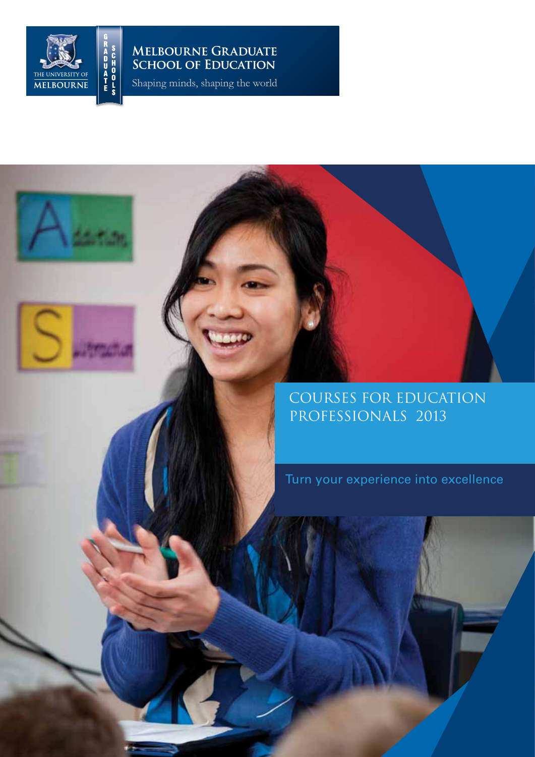

# MELBOURNE GRADUATE<br>SCHOOL OF EDUCATION

Shaping minds, shaping the world

# Courses for education professionals 2013

Turn your experience into excellence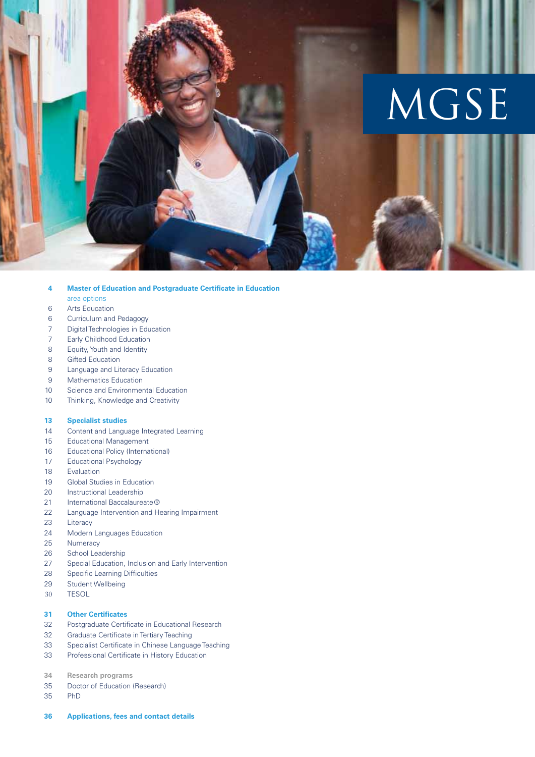

#### **Master of Education and Postgraduate Certificate in Education 4**

- area options
- Arts Education 6
- Curriculum and Pedagogy 6
- Digital Technologies in Education 7
- Early Childhood Education 7
- Equity, Youth and Identity 8
- Gifted Education 8
- Language and Literacy Education 9
- Mathematics Education 9
- Science and Environmental Education 10
- Thinking, Knowledge and Creativity 10

#### **Specialist studies 13**

- Content and Language Integrated Learning 14
- Educational Management 15
- Educational Policy (International) 16
- Educational Psychology 17
- Evaluation 18
- Global Studies in Education 19
- Instructional Leadership 20
- International Baccalaureate® 21
- Language Intervention and Hearing Impairment 22
- **Literacy** 23
- Modern Languages Education 24
- **Numeracy** 25
- School Leadership 26
- Special Education, Inclusion and Early Intervention 27
- Specific Learning Difficulties 28
- Student Wellbeing 29
- TESOL 30

#### **Other Certificates 31**

- Postgraduate Certificate in Educational Research 32
- Graduate Certificate in Tertiary Teaching 32
- Specialist Certificate in Chinese Language Teaching 33
- Professional Certificate in History Education 33
- **Research programs 34**
- Doctor of Education (Research) 35
- PhD 35
- **Applications, fees and contact details 36**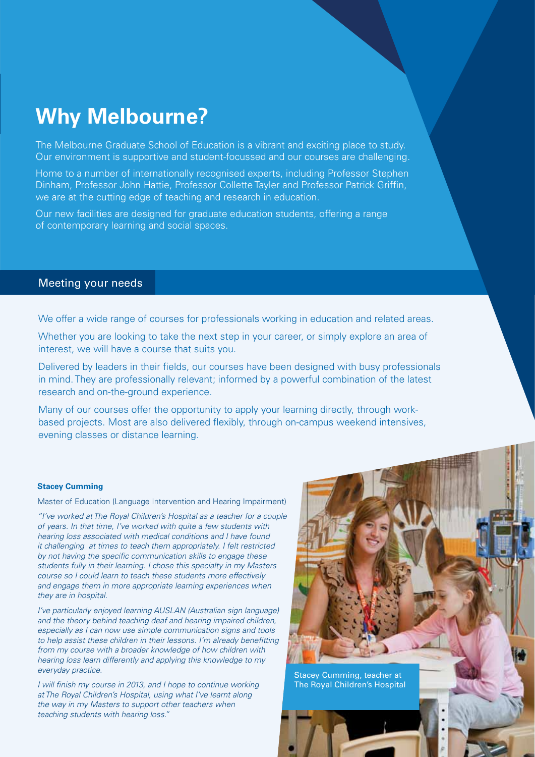# **Why Melbourne?**

The Melbourne Graduate School of Education is a vibrant and exciting place to study. Our environment is supportive and student-focussed and our courses are challenging.

Home to a number of internationally recognised experts, including Professor Stephen Dinham, Professor John Hattie, Professor Collette Tayler and Professor Patrick Griffin, we are at the cutting edge of teaching and research in education.

Our new facilities are designed for graduate education students, offering a range of contemporary learning and social spaces.

### Meeting your needs

We offer a wide range of courses for professionals working in education and related areas.

Whether you are looking to take the next step in your career, or simply explore an area of interest, we will have a course that suits you.

Delivered by leaders in their fields, our courses have been designed with busy professionals in mind. They are professionally relevant; informed by a powerful combination of the latest research and on-the-ground experience.

Many of our courses offer the opportunity to apply your learning directly, through workbased projects. Most are also delivered flexibly, through on-campus weekend intensives, evening classes or distance learning.

#### **Stacey Cumming**

Master of Education (Language Intervention and Hearing Impairment)

*"I've worked at The Royal Children's Hospital as a teacher for a couple of years. In that time, I've worked with quite a few students with hearing loss associated with medical conditions and I have found it challenging at times to teach them appropriately. I felt restricted by not having the specific communication skills to engage these students fully in their learning. I chose this specialty in my Masters course so I could learn to teach these students more effectively and engage them in more appropriate learning experiences when they are in hospital.*

*I've particularly enjoyed learning AUSLAN (Australian sign language) and the theory behind teaching deaf and hearing impaired children, especially as I can now use simple communication signs and tools to help assist these children in their lessons. I'm already benefitting from my course with a broader knowledge of how children with hearing loss learn differently and applying this knowledge to my everyday practice.*

*I will finish my course in 2013, and I hope to continue working at The Royal Children's Hospital, using what I've learnt along the way in my Masters to support other teachers when teaching students with hearing loss."*



Stacey Cumming, teacher at The Royal Children's Hospital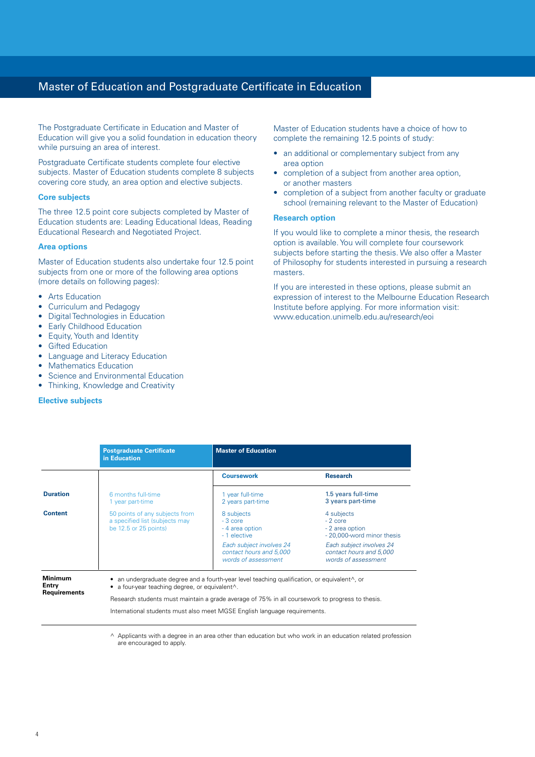### Master of Education and Postgraduate Certificate in Education

The Postgraduate Certificate in Education and Master of Education will give you a solid foundation in education theory while pursuing an area of interest.

Postgraduate Certificate students complete four elective subjects. Master of Education students complete 8 subjects covering core study, an area option and elective subjects.

#### **Core subjects**

The three 12.5 point core subjects completed by Master of Education students are: Leading Educational Ideas, Reading Educational Research and Negotiated Project.

#### **Area options**

Master of Education students also undertake four 12.5 point subjects from one or more of the following area options (more details on following pages):

- Arts Education
- Curriculum and Pedagogy
- **Digital Technologies in Education**
- **Early Childhood Education**
- Equity, Youth and Identity
- **Gifted Education**
- **Language and Literacy Education**
- **Mathematics Education**
- Science and Environmental Education
- Thinking, Knowledge and Creativity

#### **Elective subjects**

Master of Education students have a choice of how to complete the remaining 12.5 points of study:

- an additional or complementary subject from any area option
- completion of a subject from another area option, or another masters
- completion of a subject from another faculty or graduate school (remaining relevant to the Master of Education)

#### **Research option**

If you would like to complete a minor thesis, the research option is available. You will complete four coursework subjects before starting the thesis. We also offer a Master of Philosophy for students interested in pursuing a research masters.

If you are interested in these options, please submit an expression of interest to the Melbourne Education Research Institute before applying. For more information visit: www.education.unimelb.edu.au/research/eoi

|                                         | <b>Postgraduate Certificate</b><br>in Education                                               | <b>Master of Education</b>                                                                            |                                                                            |
|-----------------------------------------|-----------------------------------------------------------------------------------------------|-------------------------------------------------------------------------------------------------------|----------------------------------------------------------------------------|
|                                         |                                                                                               | <b>Coursework</b>                                                                                     | <b>Research</b>                                                            |
| <b>Duration</b>                         | 6 months full-time<br>1 year part-time                                                        | 1 year full-time<br>2 years part-time                                                                 | 1.5 years full-time<br>3 years part-time                                   |
| <b>Content</b>                          | 50 points of any subjects from<br>a specified list (subjects may<br>be $12.5$ or $25$ points) | 8 subjects<br>$-3$ core<br>- 4 area option<br>- 1 elective                                            | 4 subjects<br>$-2$ core<br>- 2 area option<br>- 20,000-word minor thesis   |
|                                         |                                                                                               | Each subject involves 24<br>contact hours and 5,000<br>words of assessment                            | Each subject involves 24<br>contact hours and 5,000<br>words of assessment |
| <b>Minimum</b><br>Entry<br>Requirements | $\bullet$ a four-year teaching degree, or equivalent $\wedge$ .                               | • an undergraduate degree and a fourth-year level teaching qualification, or equivalent $\wedge$ , or |                                                                            |

Research students must maintain a grade average of 75% in all coursework to progress to thesis. International students must also meet MGSE English language requirements.

^ Applicants with a degree in an area other than education but who work in an education related profession are encouraged to apply.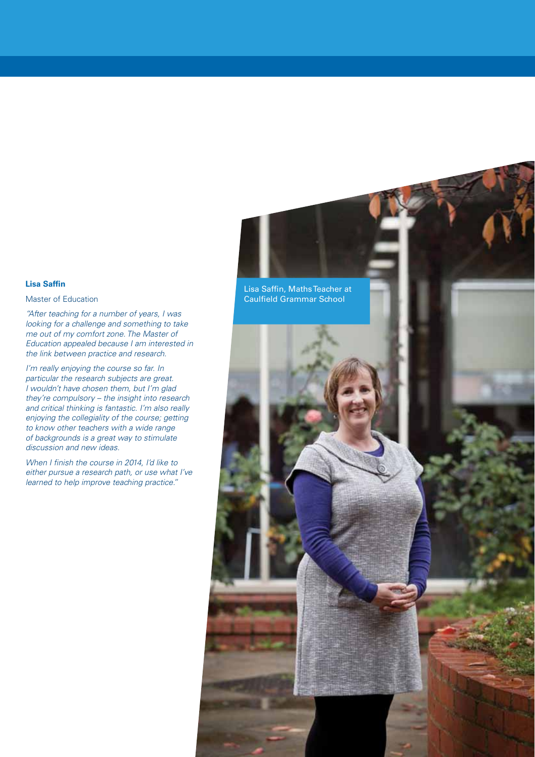#### **Lisa Saffin**

#### Master of Education

*"After teaching for a number of years, I was looking for a challenge and something to take me out of my comfort zone. The Master of Education appealed because I am interested in the link between practice and research.*

*I'm really enjoying the course so far. In particular the research subjects are great. I wouldn't have chosen them, but I'm glad they're compulsory – the insight into research and critical thinking is fantastic. I'm also really enjoying the collegiality of the course; getting to know other teachers with a wide range of backgrounds is a great way to stimulate discussion and new ideas.*

*When I finish the course in 2014, I'd like to either pursue a research path, or use what I've learned to help improve teaching practice."*

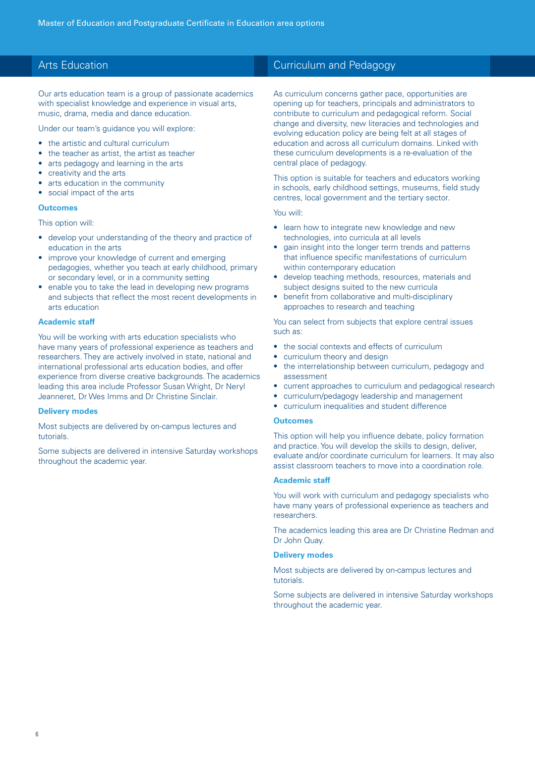### Arts Education

Our arts education team is a group of passionate academics with specialist knowledge and experience in visual arts, music, drama, media and dance education.

Under our team's guidance you will explore:

- the artistic and cultural curriculum
- the teacher as artist, the artist as teacher
- arts pedagogy and learning in the arts
- creativity and the arts
- arts education in the community
- social impact of the arts

#### **Outcomes**

This option will:

- develop your understanding of the theory and practice of education in the arts
- improve your knowledge of current and emerging pedagogies, whether you teach at early childhood, primary or secondary level, or in a community setting
- enable you to take the lead in developing new programs and subjects that reflect the most recent developments in arts education

#### **Academic staff**

You will be working with arts education specialists who have many years of professional experience as teachers and researchers. They are actively involved in state, national and international professional arts education bodies, and offer experience from diverse creative backgrounds. The academics leading this area include Professor Susan Wright, Dr Neryl Jeanneret, Dr Wes Imms and Dr Christine Sinclair.

#### **Delivery modes**

Most subjects are delivered by on-campus lectures and tutorials.

Some subjects are delivered in intensive Saturday workshops throughout the academic year.

### Curriculum and Pedagogy

As curriculum concerns gather pace, opportunities are opening up for teachers, principals and administrators to contribute to curriculum and pedagogical reform. Social change and diversity, new literacies and technologies and evolving education policy are being felt at all stages of education and across all curriculum domains. Linked with these curriculum developments is a re-evaluation of the central place of pedagogy.

This option is suitable for teachers and educators working in schools, early childhood settings, museums, field study centres, local government and the tertiary sector.

#### You will:

- learn how to integrate new knowledge and new technologies, into curricula at all levels
- aain insight into the longer term trends and patterns that influence specific manifestations of curriculum within contemporary education
- • develop teaching methods, resources, materials and subject designs suited to the new curricula
- benefit from collaborative and multi-disciplinary approaches to research and teaching

You can select from subjects that explore central issues such as:

- the social contexts and effects of curriculum
- curriculum theory and design
- the interrelationship between curriculum, pedagogy and assessment
- current approaches to curriculum and pedagogical research
- curriculum/pedagogy leadership and management
- • curriculum inequalities and student difference

#### **Outcomes**

This option will help you influence debate, policy formation and practice. You will develop the skills to design, deliver, evaluate and/or coordinate curriculum for learners. It may also assist classroom teachers to move into a coordination role.

#### **Academic staff**

You will work with curriculum and pedagogy specialists who have many years of professional experience as teachers and researchers.

The academics leading this area are Dr Christine Redman and Dr John Quay.

#### **Delivery modes**

Most subjects are delivered by on-campus lectures and tutorials.

Some subjects are delivered in intensive Saturday workshops throughout the academic year.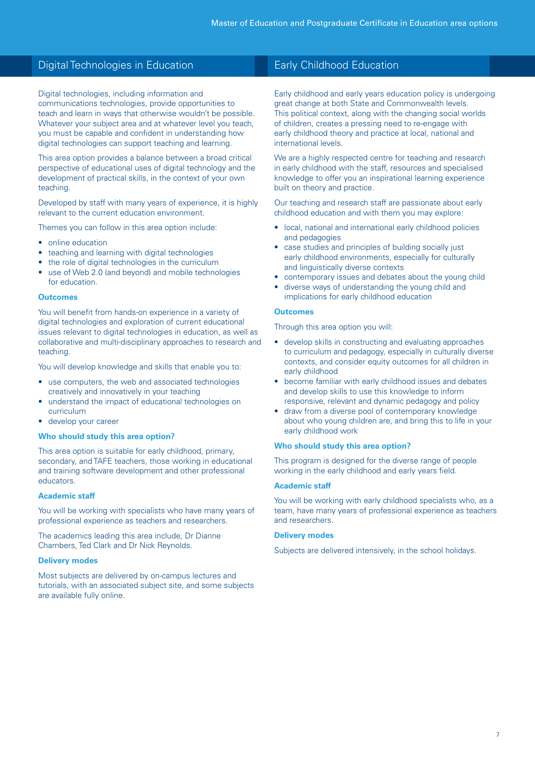### Digital Technologies in Education

Digital technologies, including information and communications technologies, provide opportunities to teach and learn in ways that otherwise wouldn't be possible. Whatever your subject area and at whatever level you teach, you must be capable and confident in understanding how digital technologies can support teaching and learning.

This area option provides a balance between a broad critical perspective of educational uses of digital technology and the development of practical skills, in the context of your own teaching.

Developed by staff with many years of experience, it is highly relevant to the current education environment.

Themes you can follow in this area option include:

- online education
- teaching and learning with digital technologies
- the role of digital technologies in the curriculum
- use of Web 2.0 (and beyond) and mobile technologies for education.

#### **Outcomes**

You will benefit from hands-on experience in a variety of digital technologies and exploration of current educational issues relevant to digital technologies in education, as well as collaborative and multi-disciplinary approaches to research and teaching.

You will develop knowledge and skills that enable you to:

- use computers, the web and associated technologies creatively and innovatively in your teaching
- understand the impact of educational technologies on curriculum
- develop your career

#### **Who should study this area option?**

This area option is suitable for early childhood, primary, secondary, and TAFE teachers, those working in educational and training software development and other professional educators.

#### **Academic staff**

You will be working with specialists who have many years of professional experience as teachers and researchers.

The academics leading this area include, Dr Dianne Chambers, Ted Clark and Dr Nick Reynolds.

#### **Delivery modes**

Most subjects are delivered by on-campus lectures and tutorials, with an associated subject site, and some subjects are available fully online.

### Early Childhood Education

Early childhood and early years education policy is undergoing great change at both State and Commonwealth levels. This political context, along with the changing social worlds of children, creates a pressing need to re-engage with early childhood theory and practice at local, national and international levels.

We are a highly respected centre for teaching and research in early childhood with the staff, resources and specialised knowledge to offer you an inspirational learning experience built on theory and practice.

Our teaching and research staff are passionate about early childhood education and with them you may explore:

- local, national and international early childhood policies and pedagogies
- case studies and principles of building socially just early childhood environments, especially for culturally and linguistically diverse contexts
- contemporary issues and debates about the young child
- diverse ways of understanding the young child and implications for early childhood education

#### **Outcomes**

Through this area option you will:

- develop skills in constructing and evaluating approaches to curriculum and pedagogy, especially in culturally diverse contexts, and consider equity outcomes for all children in early childhood
- become familiar with early childhood issues and debates and develop skills to use this knowledge to inform responsive, relevant and dynamic pedagogy and policy
- draw from a diverse pool of contemporary knowledge about who young children are, and bring this to life in your early childhood work

#### **Who should study this area option?**

This program is designed for the diverse range of people working in the early childhood and early years field.

#### **Academic staff**

You will be working with early childhood specialists who, as a team, have many years of professional experience as teachers and researchers.

#### **Delivery modes**

Subjects are delivered intensively, in the school holidays.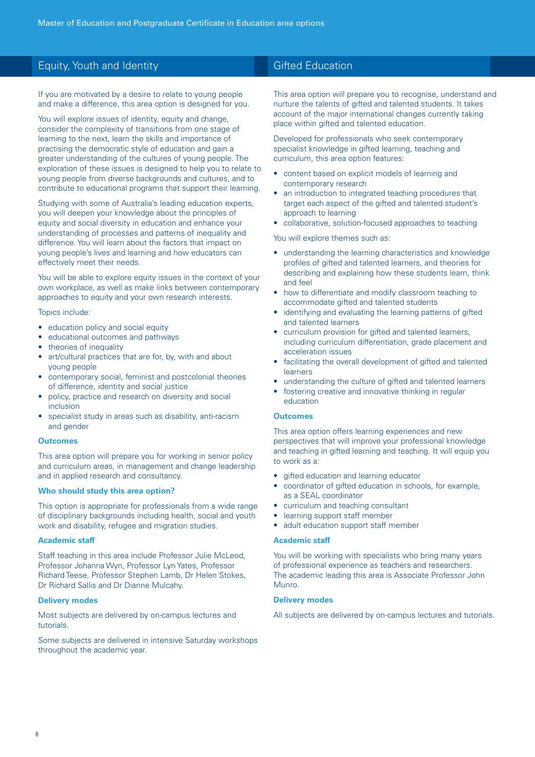### Equity, Youth and Identity

If you are motivated by a desire to relate to young people and make a difference, this area option is designed for you.

You will explore issues of identity, equity and change, consider the complexity of transitions from one stage of learning to the next, learn the skills and importance of practising the democratic style of education and gain a greater understanding of the cultures of young people. The exploration of these issues is designed to help you to relate to young people from diverse backgrounds and cultures, and to contribute to educational programs that support their learning.

Studying with some of Australia's leading education experts, you will deepen your knowledge about the principles of equity and social diversity in education and enhance your understanding of processes and patterns of inequality and difference. You will learn about the factors that impact on young people's lives and learning and how educators can effectively meet their needs.

You will be able to explore equity issues in the context of your own workplace, as well as make links between contemporary approaches to equity and your own research interests.

Topics include:

- education policy and social equity
- educational outcomes and pathways
- theories of inequality
- art/cultural practices that are for, by, with and about young people
- contemporary social, feminist and postcolonial theories of difference, identity and social justice
- policy, practice and research on diversity and social inclusion
- specialist study in areas such as disability, anti-racism and gender

#### **Outcomes**

This area option will prepare you for working in senior policy and curriculum areas, in management and change leadership and in applied research and consultancy.

#### **Who should study this area option?**

This option is appropriate for professionals from a wide range of disciplinary backgrounds including health, social and youth work and disability, refugee and migration studies.

#### **Academic staff**

Staff teaching in this area include Professor Julie McLeod, Professor Johanna Wyn, Professor Lyn Yates, Professor Richard Teese, Professor Stephen Lamb, Dr Helen Stokes, Dr Richard Sallis and Dr Dianne Mulcahy.

#### **Delivery modes**

Most subjects are delivered by on-campus lectures and tutorials.

Some subjects are delivered in intensive Saturday workshops throughout the academic year.

### Gifted Education

This area option will prepare you to recognise, understand and nurture the talents of gifted and talented students. It takes account of the major international changes currently taking place within gifted and talented education.

Developed for professionals who seek contemporary specialist knowledge in gifted learning, teaching and curriculum, this area option features:

- content based on explicit models of learning and contemporary research
- an introduction to integrated teaching procedures that target each aspect of the gifted and talented student's approach to learning
- collaborative, solution-focused approaches to teaching

You will explore themes such as:

- understanding the learning characteristics and knowledge profiles of gifted and talented learners, and theories for describing and explaining how these students learn, think and feel
- how to differentiate and modify classroom teaching to accommodate gifted and talented students
- identifying and evaluating the learning patterns of gifted and talented learners
- curriculum provision for gifted and talented learners, including curriculum differentiation, grade placement and acceleration issues
- facilitating the overall development of gifted and talented learners
- understanding the culture of gifted and talented learners
- fostering creative and innovative thinking in regular education

#### **Outcomes**

This area option offers learning experiences and new perspectives that will improve your professional knowledge and teaching in gifted learning and teaching. It will equip you to work as a:

- gifted education and learning educator
- coordinator of gifted education in schools, for example, as a SEAL coordinator
- curriculum and teaching consultant
- learning support staff member
- adult education support staff member

#### **Academic staff**

You will be working with specialists who bring many years of professional experience as teachers and researchers. The academic leading this area is Associate Professor John Munro.

#### **Delivery modes**

All subjects are delivered by on-campus lectures and tutorials.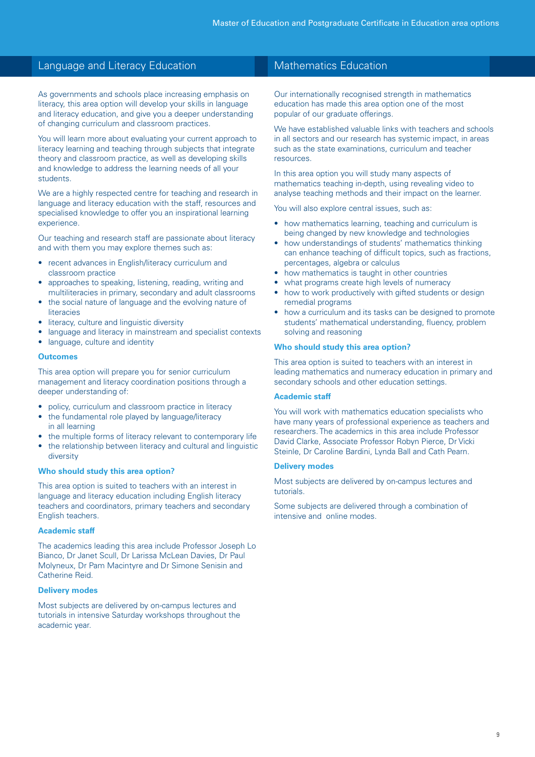### Language and Literacy Education

As governments and schools place increasing emphasis on literacy, this area option will develop your skills in language and literacy education, and give you a deeper understanding of changing curriculum and classroom practices.

You will learn more about evaluating your current approach to literacy learning and teaching through subjects that integrate theory and classroom practice, as well as developing skills and knowledge to address the learning needs of all your students.

We are a highly respected centre for teaching and research in language and literacy education with the staff, resources and specialised knowledge to offer you an inspirational learning experience.

Our teaching and research staff are passionate about literacy and with them you may explore themes such as:

- recent advances in English/literacy curriculum and classroom practice
- approaches to speaking, listening, reading, writing and multiliteracies in primary, secondary and adult classrooms
- the social nature of language and the evolving nature of literacies
- literacy, culture and linguistic diversity
- language and literacy in mainstream and specialist contexts
- language, culture and identity

#### **Outcomes**

This area option will prepare you for senior curriculum management and literacy coordination positions through a deeper understanding of:

- policy, curriculum and classroom practice in literacy
- the fundamental role played by language/literacy in all learning
- the multiple forms of literacy relevant to contemporary life
- the relationship between literacy and cultural and linguistic diversity

#### **Who should study this area option?**

This area option is suited to teachers with an interest in language and literacy education including English literacy teachers and coordinators, primary teachers and secondary English teachers.

#### **Academic staff**

The academics leading this area include Professor Joseph Lo Bianco, Dr Janet Scull, Dr Larissa McLean Davies, Dr Paul Molyneux, Dr Pam Macintyre and Dr Simone Senisin and Catherine Reid.

#### **Delivery modes**

Most subjects are delivered by on-campus lectures and tutorials in intensive Saturday workshops throughout the academic year.

### Mathematics Education

Our internationally recognised strength in mathematics education has made this area option one of the most popular of our graduate offerings.

We have established valuable links with teachers and schools in all sectors and our research has systemic impact, in areas such as the state examinations, curriculum and teacher resources.

In this area option you will study many aspects of mathematics teaching in-depth, using revealing video to analyse teaching methods and their impact on the learner.

You will also explore central issues, such as:

- how mathematics learning, teaching and curriculum is being changed by new knowledge and technologies
- how understandings of students' mathematics thinking can enhance teaching of difficult topics, such as fractions, percentages, algebra or calculus
- how mathematics is taught in other countries
- what programs create high levels of numeracy
- how to work productively with gifted students or design remedial programs
- how a curriculum and its tasks can be designed to promote students' mathematical understanding, fluency, problem solving and reasoning

#### **Who should study this area option?**

This area option is suited to teachers with an interest in leading mathematics and numeracy education in primary and secondary schools and other education settings.

#### **Academic staff**

You will work with mathematics education specialists who have many years of professional experience as teachers and researchers. The academics in this area include Professor David Clarke, Associate Professor Robyn Pierce, Dr Vicki Steinle, Dr Caroline Bardini, Lynda Ball and Cath Pearn.

#### **Delivery modes**

Most subjects are delivered by on-campus lectures and tutorials.

Some subjects are delivered through a combination of intensive and online modes.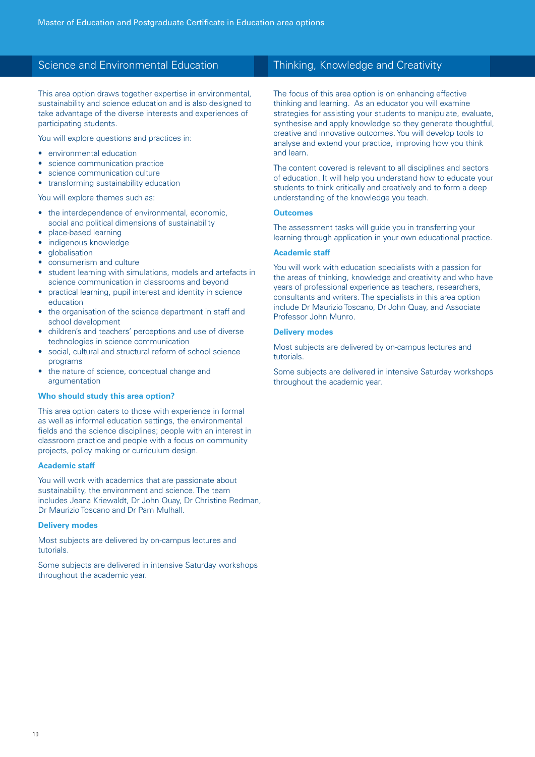### Science and Environmental Education

This area option draws together expertise in environmental, sustainability and science education and is also designed to take advantage of the diverse interests and experiences of participating students.

You will explore questions and practices in:

- environmental education
- • science communication practice
- science communication culture
- transforming sustainability education

You will explore themes such as:

- the interdependence of environmental, economic, social and political dimensions of sustainability
- place-based learning
- indigenous knowledge
- **globalisation**
- consumerism and culture
- student learning with simulations, models and artefacts in science communication in classrooms and beyond
- practical learning, pupil interest and identity in science education
- the organisation of the science department in staff and school development
- • children's and teachers' perceptions and use of diverse technologies in science communication
- • social, cultural and structural reform of school science programs
- the nature of science, conceptual change and argumentation

#### **Who should study this area option?**

This area option caters to those with experience in formal as well as informal education settings, the environmental fields and the science disciplines; people with an interest in classroom practice and people with a focus on community projects, policy making or curriculum design.

#### **Academic staff**

You will work with academics that are passionate about sustainability, the environment and science. The team includes Jeana Kriewaldt, Dr John Quay, Dr Christine Redman, Dr Maurizio Toscano and Dr Pam Mulhall.

#### **Delivery modes**

Most subjects are delivered by on-campus lectures and tutorials.

Some subjects are delivered in intensive Saturday workshops throughout the academic year.

### Thinking, Knowledge and Creativity

The focus of this area option is on enhancing effective thinking and learning. As an educator you will examine strategies for assisting your students to manipulate, evaluate, synthesise and apply knowledge so they generate thoughtful, creative and innovative outcomes. You will develop tools to analyse and extend your practice, improving how you think and learn.

The content covered is relevant to all disciplines and sectors of education. It will help you understand how to educate your students to think critically and creatively and to form a deep understanding of the knowledge you teach.

### **Outcomes**

The assessment tasks will guide you in transferring your learning through application in your own educational practice.

#### **Academic staff**

You will work with education specialists with a passion for the areas of thinking, knowledge and creativity and who have years of professional experience as teachers, researchers, consultants and writers. The specialists in this area option include Dr Maurizio Toscano, Dr John Quay, and Associate Professor John Munro.

#### **Delivery modes**

Most subjects are delivered by on-campus lectures and tutorials.

Some subjects are delivered in intensive Saturday workshops throughout the academic year.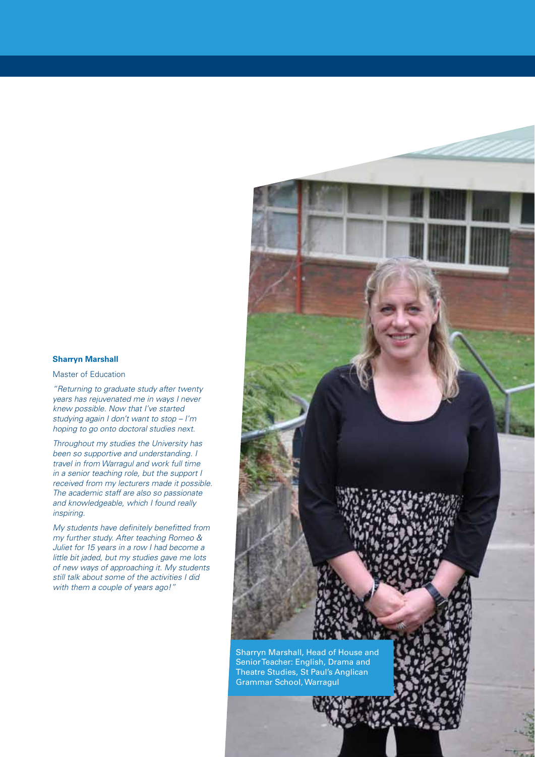#### **Sharryn Marshall**

Master of Education

*"Returning to graduate study after twenty years has rejuvenated me in ways I never knew possible. Now that I've started studying again I don't want to stop – I'm hoping to go onto doctoral studies next.*

*Throughout my studies the University has been so supportive and understanding. I travel in from Warragul and work full time in a senior teaching role, but the support I received from my lecturers made it possible. The academic staff are also so passionate and knowledgeable, which I found really inspiring.*

*My students have definitely benefitted from my further study. After teaching Romeo & Juliet for 15 years in a row I had become a little bit jaded, but my studies gave me lots of new ways of approaching it. My students still talk about some of the activities I did with them a couple of years ago!"*



Sharryn Marshall, Head of House and Senior Teacher: English, Drama and Theatre Studies, St Paul's Anglican Grammar School, Warragul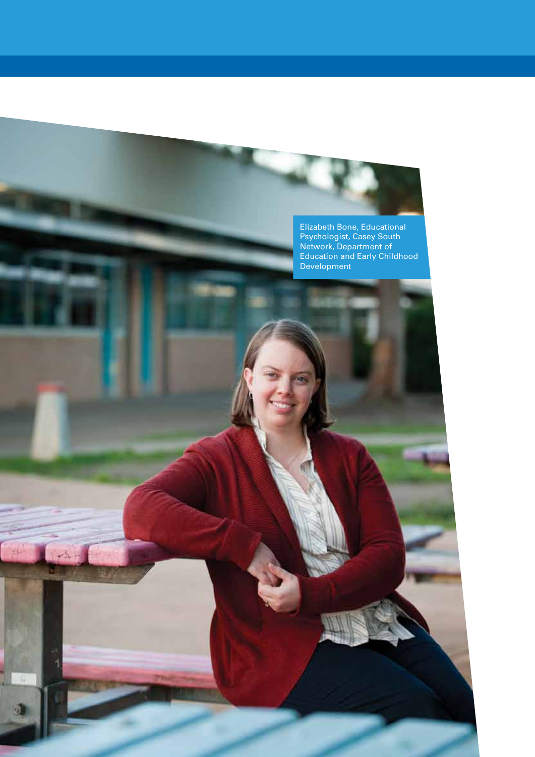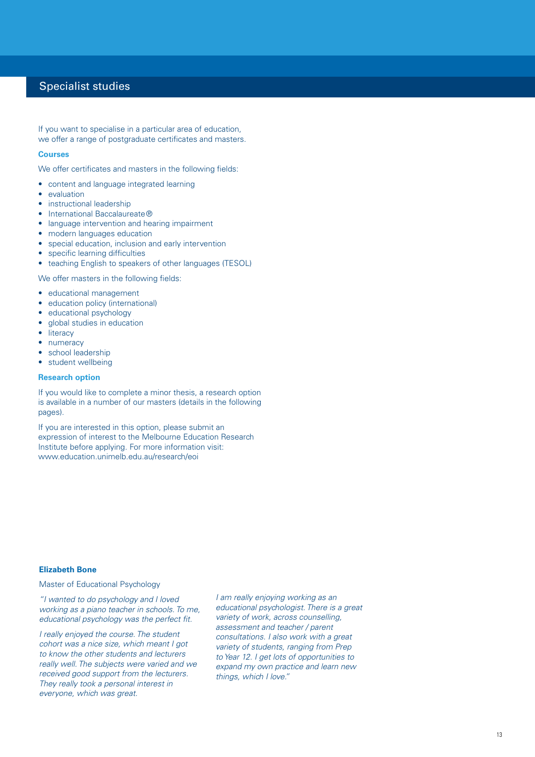### Specialist studies

If you want to specialise in a particular area of education, we offer a range of postgraduate certificates and masters.

#### **Courses**

We offer certificates and masters in the following fields:

- content and language integrated learning
- evaluation
- instructional leadership
- International Baccalaureate®
- language intervention and hearing impairment
- modern languages education
- special education, inclusion and early intervention
- specific learning difficulties
- teaching English to speakers of other languages (TESOL)

We offer masters in the following fields:

- • educational management
- education policy (international)
- educational psychology
- global studies in education
- literacy
- numeracy
- school leadership • student wellbeing

### **Research option**

If you would like to complete a minor thesis, a research option is available in a number of our masters (details in the following pages).

If you are interested in this option, please submit an expression of interest to the Melbourne Education Research Institute before applying. For more information visit: www.education.unimelb.edu.au/research/eoi

### **Elizabeth Bone**

#### Master of Educational Psychology

*"I wanted to do psychology and I loved working as a piano teacher in schools. To me, educational psychology was the perfect fit.*

*I really enjoyed the course. The student cohort was a nice size, which meant I got to know the other students and lecturers really well. The subjects were varied and we received good support from the lecturers. They really took a personal interest in everyone, which was great.*

*I am really enjoying working as an educational psychologist. There is a great variety of work, across counselling, assessment and teacher / parent consultations. I also work with a great variety of students, ranging from Prep to Year 12. I get lots of opportunities to expand my own practice and learn new things, which I love."*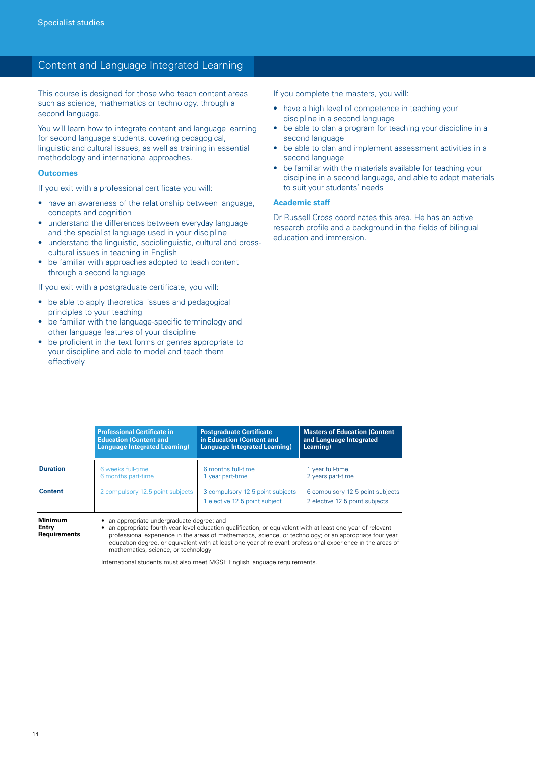### Content and Language Integrated Learning

This course is designed for those who teach content areas such as science, mathematics or technology, through a second language.

You will learn how to integrate content and language learning for second language students, covering pedagogical, linguistic and cultural issues, as well as training in essential methodology and international approaches.

#### **Outcomes**

If you exit with a professional certificate you will:

- have an awareness of the relationship between language, concepts and cognition
- understand the differences between everyday language and the specialist language used in your discipline
- understand the linguistic, sociolinguistic, cultural and crosscultural issues in teaching in English
- be familiar with approaches adopted to teach content through a second language

If you exit with a postgraduate certificate, you will:

- be able to apply theoretical issues and pedagogical principles to your teaching
- be familiar with the language-specific terminology and other language features of your discipline
- be proficient in the text forms or genres appropriate to your discipline and able to model and teach them effectively

If you complete the masters, you will:

- have a high level of competence in teaching your discipline in a second language
- be able to plan a program for teaching your discipline in a second language
- be able to plan and implement assessment activities in a second language
- be familiar with the materials available for teaching your discipline in a second language, and able to adapt materials to suit your students' needs

#### **Academic staff**

Dr Russell Cross coordinates this area. He has an active research profile and a background in the fields of bilingual education and immersion.

|                 | <b>Professional Certificate in</b>       | <b>Postgraduate Certificate</b>                                   | <b>Masters of Education (Content)</b>                              |
|-----------------|------------------------------------------|-------------------------------------------------------------------|--------------------------------------------------------------------|
|                 | <b>Education (Content and</b>            | in Education (Content and                                         | and Language Integrated                                            |
|                 | <b>Language Integrated Learning)</b>     | <b>Language Integrated Learning)</b>                              | Learning)                                                          |
| <b>Duration</b> | 6 weeks full-time                        | 6 months full-time                                                | 1 year full-time                                                   |
|                 | 6 months part-time                       | 1 year part-time                                                  | 2 years part-time                                                  |
| <b>Content</b>  | 2 compulsory 12.5 point subjects         | 3 compulsory 12.5 point subjects<br>1 elective 12.5 point subject | 6 compulsory 12.5 point subjects<br>2 elective 12.5 point subjects |
| <b>Minimum</b>  | an appropriate undergraduate degree: and |                                                                   |                                                                    |

• an appropriate undergraduate degree; and

**Entry Requirements** an appropriate fourth-year level education qualification, or equivalent with at least one year of relevant professional experience in the areas of mathematics, science, or technology; or an appropriate four year education degree, or equivalent with at least one year of relevant professional experience in the areas of mathematics, science, or technology

International students must also meet MGSE English language requirements.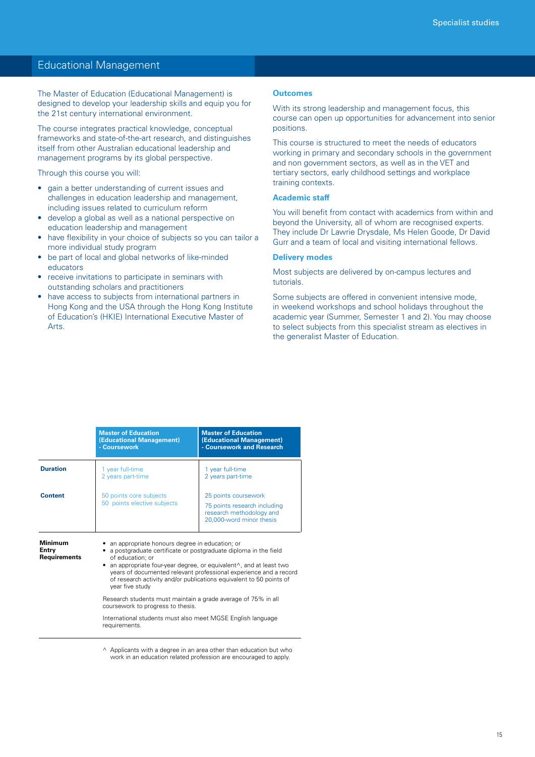### Educational Management

The Master of Education (Educational Management) is designed to develop your leadership skills and equip you for the 21st century international environment.

The course integrates practical knowledge, conceptual frameworks and state-of-the-art research, and distinguishes itself from other Australian educational leadership and management programs by its global perspective.

Through this course you will:

- • gain a better understanding of current issues and challenges in education leadership and management, including issues related to curriculum reform
- develop a global as well as a national perspective on education leadership and management
- have flexibility in your choice of subjects so you can tailor a more individual study program
- be part of local and global networks of like-minded educators
- receive invitations to participate in seminars with outstanding scholars and practitioners
- have access to subjects from international partners in Hong Kong and the USA through the Hong Kong Institute of Education's (HKIE) International Executive Master of Arts.

#### **Outcomes**

With its strong leadership and management focus, this course can open up opportunities for advancement into senior positions.

This course is structured to meet the needs of educators working in primary and secondary schools in the government and non government sectors, as well as in the VET and tertiary sectors, early childhood settings and workplace training contexts.

#### **Academic staff**

You will benefit from contact with academics from within and beyond the University, all of whom are recognised experts. They include Dr Lawrie Drysdale, Ms Helen Goode, Dr David Gurr and a team of local and visiting international fellows.

#### **Delivery modes**

Most subjects are delivered by on-campus lectures and tutorials.

Some subjects are offered in convenient intensive mode, in weekend workshops and school holidays throughout the academic year (Summer, Semester 1 and 2). You may choose to select subjects from this specialist stream as electives in the generalist Master of Education.

|                                                | <b>Master of Education</b><br>(Educational Management)<br>- Coursework                             | <b>Master of Education</b><br>(Educational Management)<br>- Coursework and Research                                                                                                                                                                                                                             |
|------------------------------------------------|----------------------------------------------------------------------------------------------------|-----------------------------------------------------------------------------------------------------------------------------------------------------------------------------------------------------------------------------------------------------------------------------------------------------------------|
| <b>Duration</b>                                | 1 year full-time<br>2 years part-time                                                              | 1 year full-time<br>2 years part-time                                                                                                                                                                                                                                                                           |
| <b>Content</b>                                 | 50 points core subjects<br>50 points elective subjects                                             | 25 points coursework<br>75 points research including<br>research methodology and<br>20,000-word minor thesis                                                                                                                                                                                                    |
| <b>Minimum</b><br>Entry<br><b>Requirements</b> | an appropriate honours degree in education; or<br>of education: or<br>٠<br>year five study         | a postgraduate certificate or postgraduate diploma in the field<br>an appropriate four-year degree, or equivalent <sup><math>\wedge</math></sup> , and at least two<br>years of documented relevant professional experience and a record<br>of research activity and/or publications equivalent to 50 points of |
|                                                | Research students must maintain a grade average of 75% in all<br>coursework to progress to thesis. |                                                                                                                                                                                                                                                                                                                 |
|                                                | International students must also meet MGSE English language<br>reauirements.                       |                                                                                                                                                                                                                                                                                                                 |

 $\land$  Applicants with a degree in an area other than education but who work in an education related profession are encouraged to apply.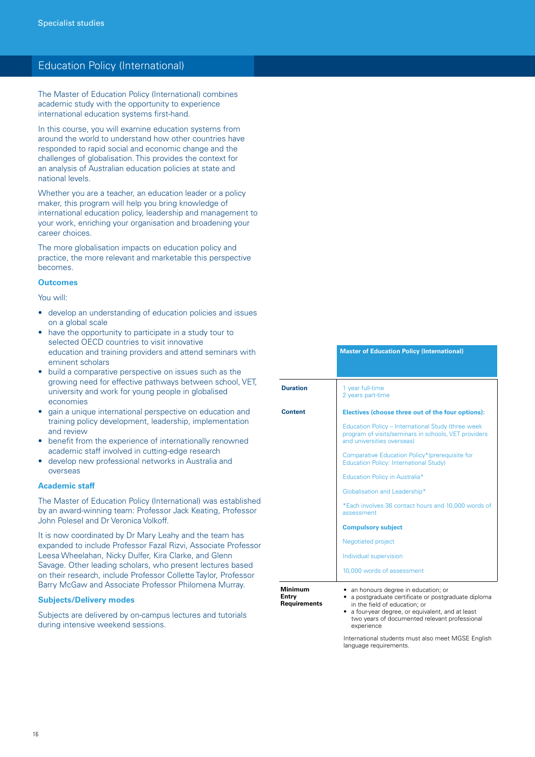### Education Policy (International)

The Master of Education Policy (International) combines academic study with the opportunity to experience international education systems first-hand.

In this course, you will examine education systems from around the world to understand how other countries have responded to rapid social and economic change and the challenges of globalisation. This provides the context for an analysis of Australian education policies at state and national levels.

Whether you are a teacher, an education leader or a policy maker, this program will help you bring knowledge of international education policy, leadership and management to your work, enriching your organisation and broadening your career choices.

The more globalisation impacts on education policy and practice, the more relevant and marketable this perspective becomes.

### **Outcomes**

You will:

- develop an understanding of education policies and issues on a global scale
- have the opportunity to participate in a study tour to selected OECD countries to visit innovative education and training providers and attend seminars with eminent scholars
- build a comparative perspective on issues such as the growing need for effective pathways between school, VET, university and work for young people in globalised economies
- aain a unique international perspective on education and training policy development, leadership, implementation and review
- benefit from the experience of internationally renowned academic staff involved in cutting-edge research
- develop new professional networks in Australia and overseas

#### **Academic staff**

The Master of Education Policy (International) was established by an award-winning team: Professor Jack Keating, Professor John Polesel and Dr Veronica Volkoff.

It is now coordinated by Dr Mary Leahy and the team has expanded to include Professor Fazal Rizvi, Associate Professor Leesa Wheelahan, Nicky Dulfer, Kira Clarke, and Glenn Savage. Other leading scholars, who present lectures based on their research, include Professor Collette Taylor, Professor Barry McGaw and Associate Professor Philomena Murray.

#### **Subjects/Delivery modes**

Subjects are delivered by on-campus lectures and tutorials during intensive weekend sessions.

|                                                | <b>Master of Education Policy (International)</b>                                                                                                                                                                                                                                                                                                                   |
|------------------------------------------------|---------------------------------------------------------------------------------------------------------------------------------------------------------------------------------------------------------------------------------------------------------------------------------------------------------------------------------------------------------------------|
| <b>Duration</b>                                | 1 year full-time<br>2 years part-time                                                                                                                                                                                                                                                                                                                               |
| <b>Content</b>                                 | Electives (choose three out of the four options):<br>Education Policy - International Study (three week<br>program of visits/seminars in schools, VET providers<br>and universities overseas)<br>Comparative Education Policy*(prerequisite for<br><b>Education Policy: International Study)</b><br>Education Policy in Australia*<br>Globalisation and Leadership* |
|                                                | *Each involves 36 contact hours and 10,000 words of<br>assessment<br><b>Compulsory subject</b><br><b>Negotiated project</b><br>Individual supervision                                                                                                                                                                                                               |
| <b>Minimum</b><br>Entrv<br><b>Requirements</b> | 10,000 words of assessment<br>• an honours degree in education; or<br>a postgraduate certificate or postgraduate diploma<br>in the field of education; or<br>a four-year degree, or equivalent, and at least<br>two years of documented relevant professional<br>experience                                                                                         |

International students must also meet MGSE English language requirements.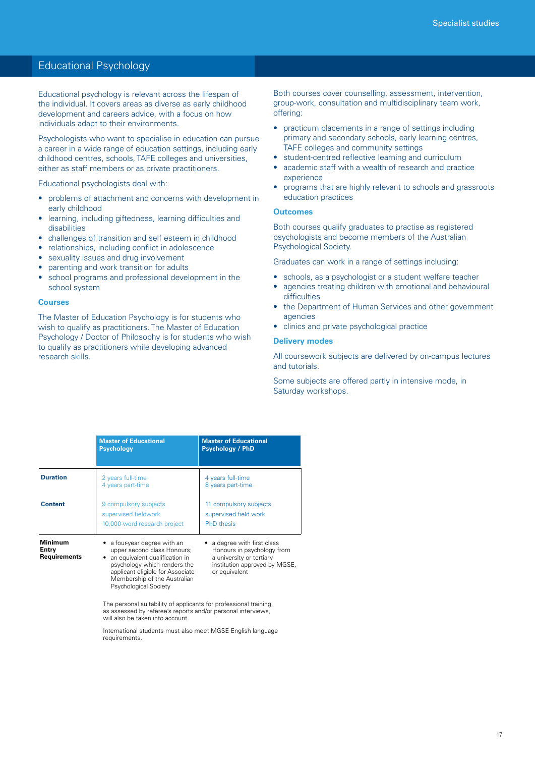### Educational Psychology

Educational psychology is relevant across the lifespan of the individual. It covers areas as diverse as early childhood development and careers advice, with a focus on how individuals adapt to their environments.

Psychologists who want to specialise in education can pursue a career in a wide range of education settings, including early childhood centres, schools, TAFE colleges and universities, either as staff members or as private practitioners.

Educational psychologists deal with:

- • problems of attachment and concerns with development in early childhood
- learning, including giftedness, learning difficulties and disabilities
- challenges of transition and self esteem in childhood
- relationships, including conflict in adolescence
- sexuality issues and drug involvement
- parenting and work transition for adults
- school programs and professional development in the school system

#### **Courses**

The Master of Education Psychology is for students who wish to qualify as practitioners. The Master of Education Psychology / Doctor of Philosophy is for students who wish to qualify as practitioners while developing advanced research skills.

Both courses cover counselling, assessment, intervention, group-work, consultation and multidisciplinary team work, offering:

- practicum placements in a range of settings including primary and secondary schools, early learning centres, TAFE colleges and community settings
- student-centred reflective learning and curriculum
- academic staff with a wealth of research and practice experience
- programs that are highly relevant to schools and grassroots education practices

#### **Outcomes**

Both courses qualify graduates to practise as registered psychologists and become members of the Australian Psychological Society.

Graduates can work in a range of settings including:

- schools, as a psychologist or a student welfare teacher
- agencies treating children with emotional and behavioural difficulties
- the Department of Human Services and other government agencies
- clinics and private psychological practice

#### **Delivery modes**

All coursework subjects are delivered by on-campus lectures and tutorials.

Some subjects are offered partly in intensive mode, in Saturday workshops.

|                                         | <b>Master of Educational</b><br><b>Psychology</b>                                                                                                                                                                                                                                                                                                                   | <b>Master of Educational</b><br><b>Psychology / PhD</b>              |
|-----------------------------------------|---------------------------------------------------------------------------------------------------------------------------------------------------------------------------------------------------------------------------------------------------------------------------------------------------------------------------------------------------------------------|----------------------------------------------------------------------|
| <b>Duration</b>                         | 2 years full-time<br>4 years part-time                                                                                                                                                                                                                                                                                                                              | 4 years full-time<br>8 years part-time                               |
| <b>Content</b>                          | 9 compulsory subjects<br>supervised fieldwork<br>10,000-word research project                                                                                                                                                                                                                                                                                       | 11 compulsory subjects<br>supervised field work<br><b>PhD</b> thesis |
| Minimum<br>Entry<br><b>Requirements</b> | a four-year degree with an<br>• a degree with first class<br>upper second class Honours;<br>Honours in psychology from<br>an equivalent qualification in<br>a university or tertiary<br>psychology which renders the<br>institution approved by MGSE,<br>applicant eligible for Associate<br>or equivalent<br>Membership of the Australian<br>Psychological Society |                                                                      |

The personal suitability of applicants for professional training, as assessed by referee's reports and/or personal interviews, will also be taken into account.

International students must also meet MGSE English language requirements.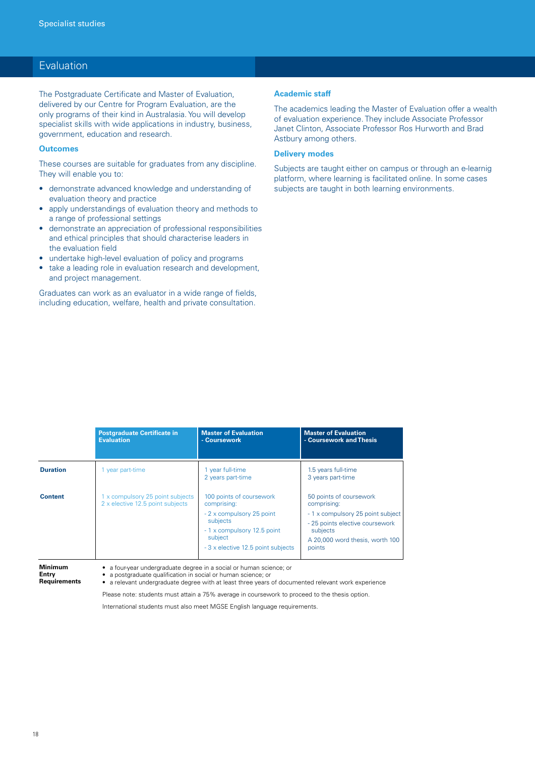### **Evaluation**

The Postgraduate Certificate and Master of Evaluation, delivered by our Centre for Program Evaluation, are the only programs of their kind in Australasia. You will develop specialist skills with wide applications in industry, business, government, education and research.

#### **Outcomes**

These courses are suitable for graduates from any discipline. They will enable you to:

- • demonstrate advanced knowledge and understanding of evaluation theory and practice
- apply understandings of evaluation theory and methods to a range of professional settings
- demonstrate an appreciation of professional responsibilities and ethical principles that should characterise leaders in the evaluation field
- undertake high-level evaluation of policy and programs
- take a leading role in evaluation research and development, and project management.

Graduates can work as an evaluator in a wide range of fields, including education, welfare, health and private consultation.

#### **Academic staff**

The academics leading the Master of Evaluation offer a wealth of evaluation experience. They include Associate Professor Janet Clinton, Associate Professor Ros Hurworth and Brad Astbury among others.

#### **Delivery modes**

Subjects are taught either on campus or through an e-learnig platform, where learning is facilitated online. In some cases subjects are taught in both learning environments.

|                 | <b>Postgraduate Certificate in</b><br><b>Evaluation</b>              | <b>Master of Evaluation</b><br>- Coursework                                                                                                                      | <b>Master of Evaluation</b><br>- Coursework and Thesis                                                                                                                  |
|-----------------|----------------------------------------------------------------------|------------------------------------------------------------------------------------------------------------------------------------------------------------------|-------------------------------------------------------------------------------------------------------------------------------------------------------------------------|
| <b>Duration</b> | 1 year part-time                                                     | 1 year full-time<br>2 years part-time                                                                                                                            | 1.5 years full-time<br>3 years part-time                                                                                                                                |
| Content         | 1 x compulsory 25 point subjects<br>2 x elective 12.5 point subjects | 100 points of coursework<br>comprising:<br>- 2 x compulsory 25 point<br>subjects<br>- 1 x compulsory 12.5 point<br>subject<br>- 3 x elective 12.5 point subjects | 50 points of coursework<br>comprising:<br>- 1 x compulsory 25 point subject<br>- 25 points elective coursework<br>subjects<br>A 20,000 word thesis, worth 100<br>points |

**Minimum** 

**Entry Requirements** • a four-year undergraduate degree in a social or human science; or • a postgraduate qualification in social or human science; or

• a relevant undergraduate degree with at least three years of documented relevant work experience

Please note: students must attain a 75% average in coursework to proceed to the thesis option.

International students must also meet MGSE English language requirements.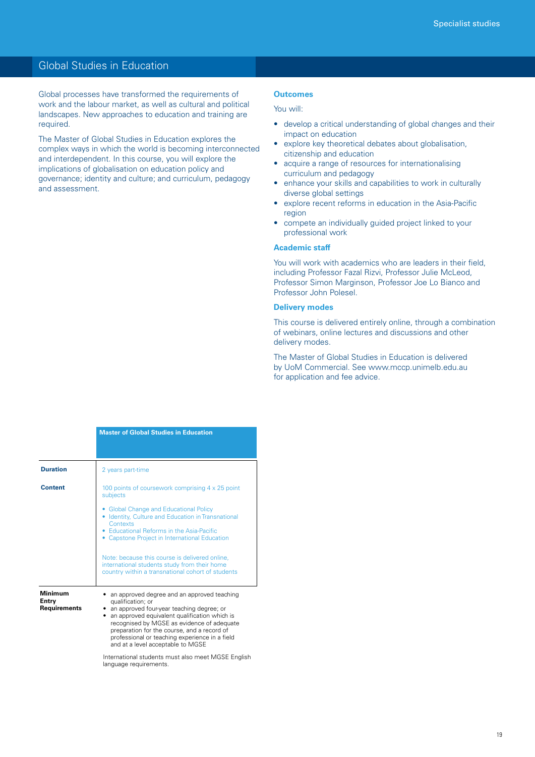### Global Studies in Education

Global processes have transformed the requirements of work and the labour market, as well as cultural and political landscapes. New approaches to education and training are required.

The Master of Global Studies in Education explores the complex ways in which the world is becoming interconnected and interdependent. In this course, you will explore the implications of globalisation on education policy and governance; identity and culture; and curriculum, pedagogy and assessment.

#### **Outcomes**

### You will:

- develop a critical understanding of global changes and their impact on education
- explore key theoretical debates about globalisation, citizenship and education
- acquire a range of resources for internationalising curriculum and pedagogy
- enhance your skills and capabilities to work in culturally diverse global settings
- • explore recent reforms in education in the Asia-Pacific region
- compete an individually guided project linked to your professional work

#### **Academic staff**

You will work with academics who are leaders in their field, including Professor Fazal Rizvi, Professor Julie McLeod, Professor Simon Marginson, Professor Joe Lo Bianco and Professor John Polesel.

#### **Delivery modes**

This course is delivered entirely online, through a combination of webinars, online lectures and discussions and other delivery modes.

The Master of Global Studies in Education is delivered by UoM Commercial. See www.mccp.unimelb.edu.au for application and fee advice.

|                                         | <b>Master of Global Studies in Education</b>                                                                                                                                                                                                                                                                                                         |  |  |
|-----------------------------------------|------------------------------------------------------------------------------------------------------------------------------------------------------------------------------------------------------------------------------------------------------------------------------------------------------------------------------------------------------|--|--|
|                                         |                                                                                                                                                                                                                                                                                                                                                      |  |  |
| <b>Duration</b>                         | 2 years part-time                                                                                                                                                                                                                                                                                                                                    |  |  |
| <b>Content</b>                          | 100 points of coursework comprising 4 x 25 point<br>subjects                                                                                                                                                                                                                                                                                         |  |  |
|                                         | • Global Change and Educational Policy<br>• Identity, Culture and Education in Transnational<br>Contexts                                                                                                                                                                                                                                             |  |  |
|                                         | • Educational Reforms in the Asia-Pacific<br>• Capstone Project in International Education                                                                                                                                                                                                                                                           |  |  |
|                                         | Note: because this course is delivered online,<br>international students study from their home<br>country within a transnational cohort of students                                                                                                                                                                                                  |  |  |
| <b>Minimum</b><br>Entry<br>Requirements | an approved degree and an approved teaching<br>qualification; or<br>• an approved four-year teaching degree; or<br>an approved equivalent qualification which is<br>recognised by MGSE as evidence of adequate<br>preparation for the course, and a record of<br>professional or teaching experience in a field<br>and at a level acceptable to MGSE |  |  |
|                                         | International students must also meet MGSE English<br>language requirements.                                                                                                                                                                                                                                                                         |  |  |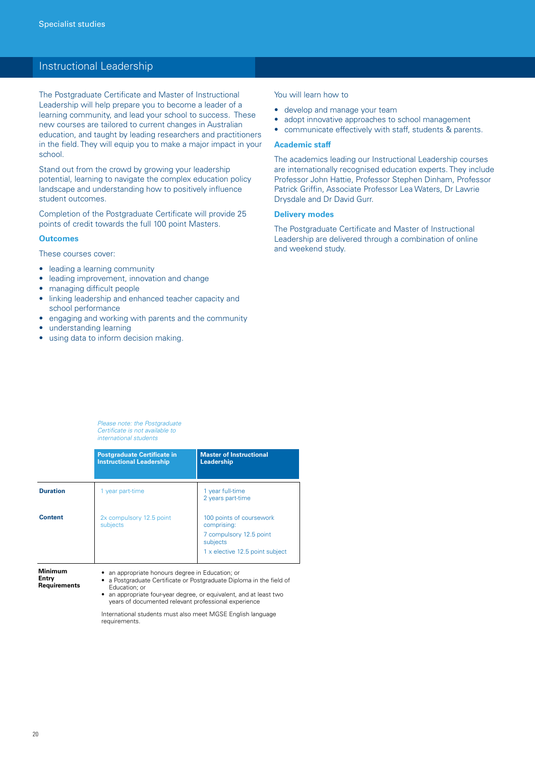### Instructional Leadership

The Postgraduate Certificate and Master of Instructional Leadership will help prepare you to become a leader of a learning community, and lead your school to success. These new courses are tailored to current changes in Australian education, and taught by leading researchers and practitioners in the field. They will equip you to make a major impact in your school.

Stand out from the crowd by growing your leadership potential, learning to navigate the complex education policy landscape and understanding how to positively influence student outcomes.

Completion of the Postgraduate Certificate will provide 25 points of credit towards the full 100 point Masters.

#### **Outcomes**

These courses cover:

- leading a learning community
- leading improvement, innovation and change
- managing difficult people
- linking leadership and enhanced teacher capacity and school performance
- engaging and working with parents and the community
- understanding learning
- using data to inform decision making.

#### You will learn how to

- develop and manage your team
- adopt innovative approaches to school management
- • communicate effectively with staff, students & parents.

#### **Academic staff**

The academics leading our Instructional Leadership courses are internationally recognised education experts. They include Professor John Hattie, Professor Stephen Dinham, Professor Patrick Griffin, Associate Professor Lea Waters, Dr Lawrie Drysdale and Dr David Gurr.

#### **Delivery modes**

The Postgraduate Certificate and Master of Instructional Leadership are delivered through a combination of online and weekend study.

*Please note: the Postgraduate Certificate is not available to international students*

|                  | <b>Postgraduate Certificate in</b><br><b>Instructional Leadership</b> | <b>Master of Instructional</b><br>Leadership                       |
|------------------|-----------------------------------------------------------------------|--------------------------------------------------------------------|
| <b>Duration</b>  | 1 year part-time                                                      | 1 year full-time<br>2 years part-time                              |
| <b>Content</b>   | 2x compulsory 12.5 point<br>subjects                                  | 100 points of coursework<br>comprising:<br>7 compulsory 12.5 point |
|                  |                                                                       | subjects<br>1 x elective 12.5 point subject                        |
| Minimum<br>Entry | an appropriate honours degree in Education; or                        | a Postaraduate Certificate or Postaraduate Dinloma in the field of |

**Entry Requirements**

rtificate or Postgraduate Diploma in the field of Education; or

• an appropriate four-year degree, or equivalent, and at least two years of documented relevant professional experience

International students must also meet MGSE English language requirements.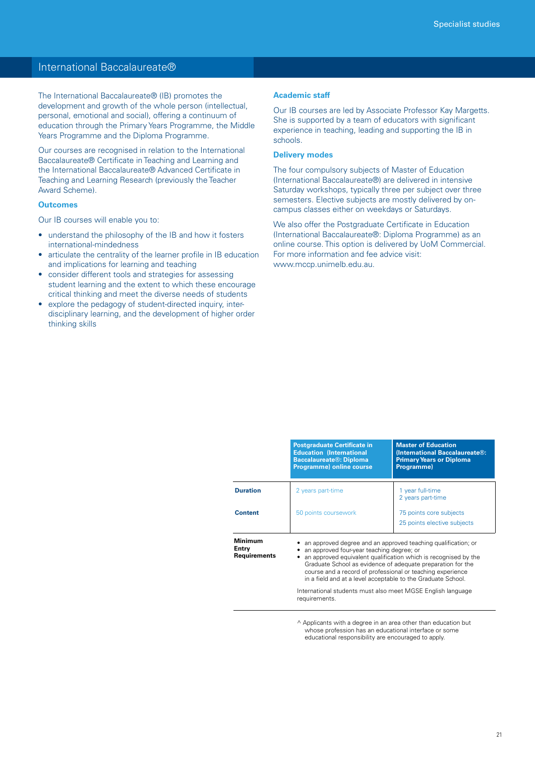### International Baccalaureate®

The International Baccalaureate® (IB) promotes the development and growth of the whole person (intellectual, personal, emotional and social), offering a continuum of education through the Primary Years Programme, the Middle Years Programme and the Diploma Programme.

Our courses are recognised in relation to the International Baccalaureate® Certificate in Teaching and Learning and the International Baccalaureate® Advanced Certificate in Teaching and Learning Research (previously the Teacher Award Scheme).

#### **Outcomes**

Our IB courses will enable you to:

- understand the philosophy of the IB and how it fosters international-mindedness
- articulate the centrality of the learner profile in IB education and implications for learning and teaching
- consider different tools and strategies for assessing student learning and the extent to which these encourage critical thinking and meet the diverse needs of students
- explore the pedagogy of student-directed inquiry, interdisciplinary learning, and the development of higher order thinking skills

#### **Academic staff**

Our IB courses are led by Associate Professor Kay Margetts. She is supported by a team of educators with significant experience in teaching, leading and supporting the IB in schools.

#### **Delivery modes**

The four compulsory subjects of Master of Education (International Baccalaureate®) are delivered in intensive Saturday workshops, typically three per subject over three semesters. Elective subjects are mostly delivered by oncampus classes either on weekdays or Saturdays.

We also offer the Postgraduate Certificate in Education (International Baccalaureate®: Diploma Programme) as an online course. This option is delivered by UoM Commercial. For more information and fee advice visit: www.mccp.unimelb.edu.au.

| <b>Postgraduate Certificate in</b><br><b>Education (International</b><br><b>Baccalaureate®: Diploma</b><br><b>Programme) online course</b> | <b>Master of Education</b><br>(International Baccalaureate®:<br><b>Primary Years or Diploma</b><br>Programme)                                                                                                                                                                                                                                                                                                                             |  |
|--------------------------------------------------------------------------------------------------------------------------------------------|-------------------------------------------------------------------------------------------------------------------------------------------------------------------------------------------------------------------------------------------------------------------------------------------------------------------------------------------------------------------------------------------------------------------------------------------|--|
| 2 years part-time                                                                                                                          | 1 year full-time<br>2 years part-time                                                                                                                                                                                                                                                                                                                                                                                                     |  |
| 50 points coursework                                                                                                                       | 75 points core subjects<br>25 points elective subjects                                                                                                                                                                                                                                                                                                                                                                                    |  |
|                                                                                                                                            | an approved degree and an approved teaching qualification; or<br>an approved four-year teaching degree; or<br>an approved equivalent qualification which is recognised by the<br>Graduate School as evidence of adequate preparation for the<br>course and a record of professional or teaching experience<br>in a field and at a level acceptable to the Graduate School.<br>International students must also meet MGSE English language |  |
|                                                                                                                                            | requirements.                                                                                                                                                                                                                                                                                                                                                                                                                             |  |

^ Applicants with a degree in an area other than education but whose profession has an educational interface or some educational responsibility are encouraged to apply.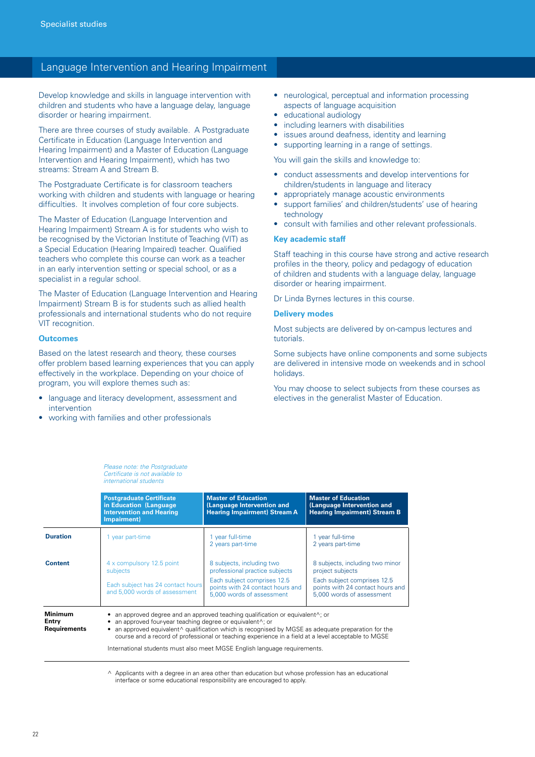### Language Intervention and Hearing Impairment

Develop knowledge and skills in language intervention with children and students who have a language delay, language disorder or hearing impairment.

There are three courses of study available. A Postgraduate Certificate in Education (Language Intervention and Hearing Impairment) and a Master of Education (Language Intervention and Hearing Impairment), which has two streams: Stream A and Stream B.

The Postgraduate Certificate is for classroom teachers working with children and students with language or hearing difficulties. It involves completion of four core subjects.

The Master of Education (Language Intervention and Hearing Impairment) Stream A is for students who wish to be recognised by the Victorian Institute of Teaching (VIT) as a Special Education (Hearing Impaired) teacher. Qualified teachers who complete this course can work as a teacher in an early intervention setting or special school, or as a specialist in a regular school.

The Master of Education (Language Intervention and Hearing Impairment) Stream B is for students such as allied health professionals and international students who do not require VIT recognition.

#### **Outcomes**

Based on the latest research and theory, these courses offer problem based learning experiences that you can apply effectively in the workplace. Depending on your choice of program, you will explore themes such as:

- language and literacy development, assessment and intervention
- working with families and other professionals
- neurological, perceptual and information processing aspects of language acquisition
- educational audiology
- including learners with disabilities
- issues around deafness, identity and learning
- supporting learning in a range of settings.

You will gain the skills and knowledge to:

- • conduct assessments and develop interventions for children/students in language and literacy
- appropriately manage acoustic environments
- support families' and children/students' use of hearing technology
- consult with families and other relevant professionals.

#### **Key academic staff**

Staff teaching in this course have strong and active research profiles in the theory, policy and pedagogy of education of children and students with a language delay, language disorder or hearing impairment.

Dr Linda Byrnes lectures in this course.

#### **Delivery modes**

Most subjects are delivered by on-campus lectures and tutorials.

Some subjects have online components and some subjects are delivered in intensive mode on weekends and in school holidays.

You may choose to select subjects from these courses as electives in the generalist Master of Education.

|                  | <b>Postgraduate Certificate</b><br>in Education (Language)<br><b>Intervention and Hearing</b><br>Impairment)                                                                                                                                                                                                                                                                              | <b>Master of Education</b><br>(Language Intervention and<br><b>Hearing Impairment) Stream A</b>                                            | <b>Master of Education</b><br>(Language Intervention and<br><b>Hearing Impairment) Stream B</b>                        |  |
|------------------|-------------------------------------------------------------------------------------------------------------------------------------------------------------------------------------------------------------------------------------------------------------------------------------------------------------------------------------------------------------------------------------------|--------------------------------------------------------------------------------------------------------------------------------------------|------------------------------------------------------------------------------------------------------------------------|--|
| <b>Duration</b>  | 1 year part-time                                                                                                                                                                                                                                                                                                                                                                          | 1 year full-time<br>2 years part-time                                                                                                      | 1 year full-time<br>2 years part-time                                                                                  |  |
| <b>Content</b>   | 4 x compulsory 12.5 point<br>subjects<br>Each subject has 24 contact hours                                                                                                                                                                                                                                                                                                                | 8 subjects, including two<br>professional practice subjects<br>Each subject comprises 12.5<br>points with 24 contact hours and             | 8 subjects, including two minor<br>project subjects<br>Each subject comprises 12.5<br>points with 24 contact hours and |  |
| Minimum<br>Entry | and 5,000 words of assessment                                                                                                                                                                                                                                                                                                                                                             | 5,000 words of assessment<br>• an approved degree and an approved teaching qualification or equivalent <sup><math>\wedge</math></sup> ; or | 5,000 words of assessment                                                                                              |  |
| Requirements     | an approved four-year teaching degree or equivalent <sup><math>\wedge</math></sup> ; or<br>• an approved equivalent $\land$ qualification which is recognised by MGSE as adequate preparation for the<br>course and a record of professional or teaching experience in a field at a level acceptable to MGSE<br>International students must also meet MGSE English language requirements. |                                                                                                                                            |                                                                                                                        |  |

*Please note: the Postgraduate Certificate is not available to international students*

 $\land$  Applicants with a degree in an area other than education but whose profession has an educational interface or some educational responsibility are encouraged to apply.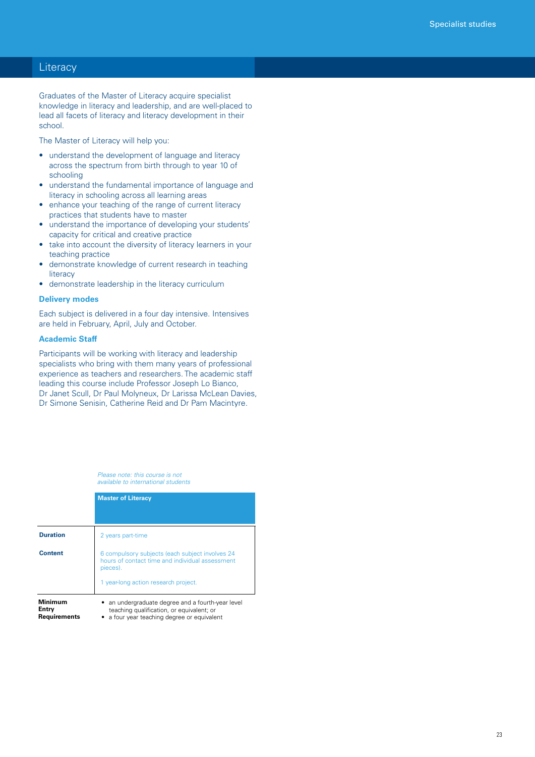### **Literacy**

Graduates of the Master of Literacy acquire specialist knowledge in literacy and leadership, and are well-placed to lead all facets of literacy and literacy development in their school.

The Master of Literacy will help you:

- understand the development of language and literacy across the spectrum from birth through to year 10 of schooling
- understand the fundamental importance of language and literacy in schooling across all learning areas
- enhance your teaching of the range of current literacy practices that students have to master
- understand the importance of developing your students' capacity for critical and creative practice
- take into account the diversity of literacy learners in your teaching practice
- demonstrate knowledge of current research in teaching **literacy**
- demonstrate leadership in the literacy curriculum

#### **Delivery modes**

Each subject is delivered in a four day intensive. Intensives are held in February, April, July and October.

#### **Academic Staff**

Participants will be working with literacy and leadership specialists who bring with them many years of professional experience as teachers and researchers. The academic staff leading this course include Professor Joseph Lo Bianco, Dr Janet Scull, Dr Paul Molyneux, Dr Larissa McLean Davies, Dr Simone Senisin, Catherine Reid and Dr Pam Macintyre.

> *Please note: this course is not available to international students*

|                                         | <b>Master of Literacy</b>                                                                                                                              |
|-----------------------------------------|--------------------------------------------------------------------------------------------------------------------------------------------------------|
|                                         |                                                                                                                                                        |
| <b>Duration</b>                         | 2 years part-time                                                                                                                                      |
| <b>Content</b>                          | 6 compulsory subjects (each subject involves 24<br>hours of contact time and individual assessment<br>pieces).<br>1 year-long action research project. |
| Minimum<br>Entry<br><b>Requirements</b> | an undergraduate degree and a fourth-year level<br>teaching qualification, or equivalent; or<br>a four year teaching degree or equivalent              |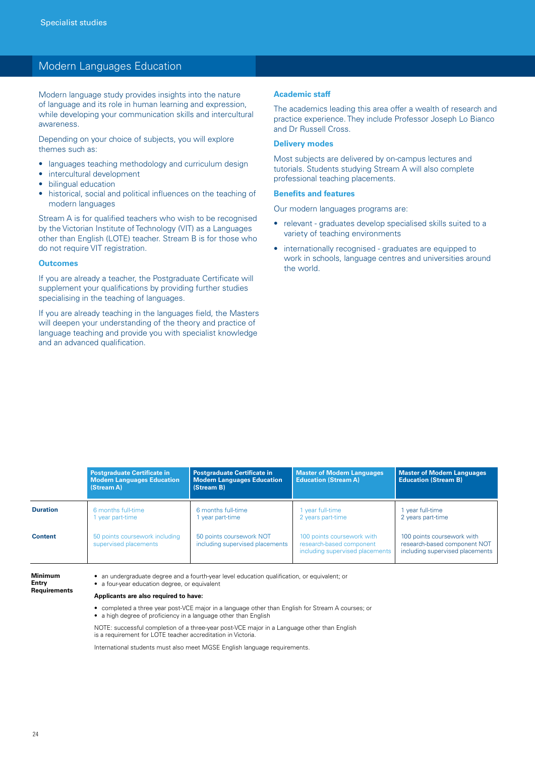### Modern Languages Education

Modern language study provides insights into the nature of language and its role in human learning and expression, while developing your communication skills and intercultural awareness.

Depending on your choice of subjects, you will explore themes such as:

- languages teaching methodology and curriculum design
- intercultural development
- • bilingual education
- historical, social and political influences on the teaching of modern languages

Stream A is for qualified teachers who wish to be recognised by the Victorian Institute of Technology (VIT) as a Languages other than English (LOTE) teacher. Stream B is for those who do not require VIT registration.

#### **Outcomes**

If you are already a teacher, the Postgraduate Certificate will supplement your qualifications by providing further studies specialising in the teaching of languages.

If you are already teaching in the languages field, the Masters will deepen your understanding of the theory and practice of language teaching and provide you with specialist knowledge and an advanced qualification.

#### **Academic staff**

The academics leading this area offer a wealth of research and practice experience. They include Professor Joseph Lo Bianco and Dr Russell Cross.

#### **Delivery modes**

Most subjects are delivered by on-campus lectures and tutorials. Students studying Stream A will also complete professional teaching placements.

#### **Benefits and features**

Our modern languages programs are:

- relevant graduates develop specialised skills suited to a variety of teaching environments
- internationally recognised graduates are equipped to work in schools, language centres and universities around the world.

|                 | <b>Postgraduate Certificate in</b><br><b>Modern Languages Education</b><br>(Stream A) | <b>Postgraduate Certificate in</b><br><b>Modern Languages Education</b><br>(Stream B) | <b>Master of Modern Languages</b><br><b>Education (Stream A)</b>                          | <b>Master of Modern Languages</b><br><b>Education (Stream B)</b>                              |
|-----------------|---------------------------------------------------------------------------------------|---------------------------------------------------------------------------------------|-------------------------------------------------------------------------------------------|-----------------------------------------------------------------------------------------------|
| <b>Duration</b> | 6 months full-time<br>vear part-time                                                  | 6 months full-time<br>vear part-time                                                  | year full-time<br>2 years part-time                                                       | vear full-time<br>2 years part-time                                                           |
| <b>Content</b>  | 50 points coursework including<br>supervised placements                               | 50 points coursework NOT<br>including supervised placements                           | 100 points coursework with<br>research-based component<br>including supervised placements | 100 points coursework with<br>research-based component NOT<br>including supervised placements |

**Minimum Entry Requirements**

• an undergraduate degree and a fourth-year level education qualification, or equivalent; or • a four-year education degree, or equivalent

#### **Applicants are also required to have:**

• completed a three year post-VCE major in a language other than English for Stream A courses; or • a high degree of proficiency in a language other than English

NOTE: successful completion of a three-year post-VCE major in a Language other than English is a requirement for LOTE teacher accreditation in Victoria.

International students must also meet MGSE English language requirements.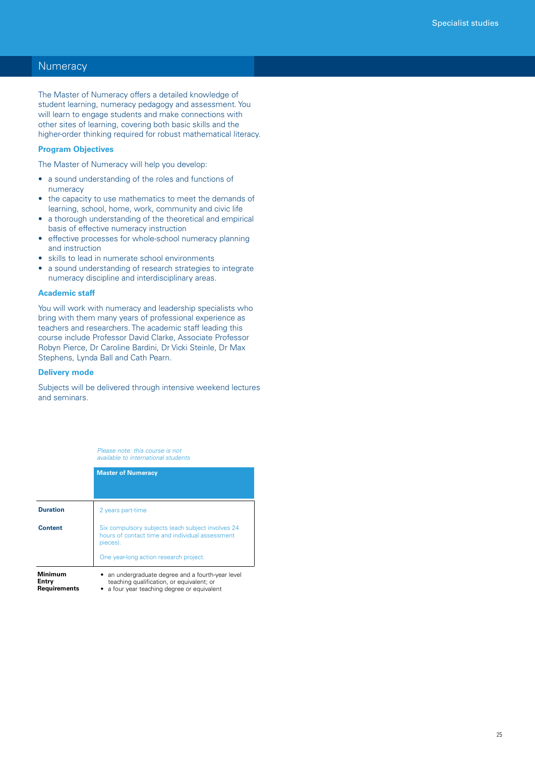### **Numeracy**

The Master of Numeracy offers a detailed knowledge of student learning, numeracy pedagogy and assessment. You will learn to engage students and make connections with other sites of learning, covering both basic skills and the higher-order thinking required for robust mathematical literacy.

### **Program Objectives**

The Master of Numeracy will help you develop:

- a sound understanding of the roles and functions of numeracy
- the capacity to use mathematics to meet the demands of learning, school, home, work, community and civic life
- a thorough understanding of the theoretical and empirical basis of effective numeracy instruction
- effective processes for whole-school numeracy planning and instruction
- skills to lead in numerate school environments
- a sound understanding of research strategies to integrate numeracy discipline and interdisciplinary areas.

#### **Academic staff**

You will work with numeracy and leadership specialists who bring with them many years of professional experience as teachers and researchers. The academic staff leading this course include Professor David Clarke, Associate Professor Robyn Pierce, Dr Caroline Bardini, Dr Vicki Steinle, Dr Max Stephens, Lynda Ball and Cath Pearn.

#### **Delivery mode**

Subjects will be delivered through intensive weekend lectures and seminars.

> *Please note: this course is not available to international students*

|                                  | <b>Master of Numeracy</b>                                                                                                                 |
|----------------------------------|-------------------------------------------------------------------------------------------------------------------------------------------|
| <b>Duration</b>                  | 2 years part-time                                                                                                                         |
| <b>Content</b>                   | Six compulsory subjects (each subject involves 24<br>hours of contact time and individual assessment<br>pieces).                          |
|                                  | One year-long action research project.                                                                                                    |
| Minimum<br>Entry<br>Requirements | an undergraduate degree and a fourth-year level<br>teaching qualification, or equivalent; or<br>a four year teaching degree or equivalent |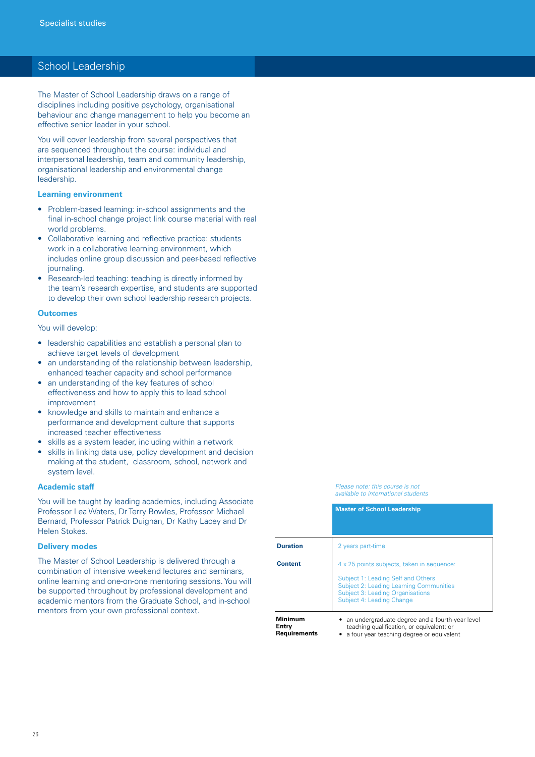### School Leadership

The Master of School Leadership draws on a range of disciplines including positive psychology, organisational behaviour and change management to help you become an effective senior leader in your school.

You will cover leadership from several perspectives that are sequenced throughout the course: individual and interpersonal leadership, team and community leadership, organisational leadership and environmental change leadership.

#### **Learning environment**

- Problem-based learning: in-school assignments and the final in-school change project link course material with real world problems.
- Collaborative learning and reflective practice: students work in a collaborative learning environment, which includes online group discussion and peer-based reflective journaling.
- Research-led teaching: teaching is directly informed by the team's research expertise, and students are supported to develop their own school leadership research projects.

#### **Outcomes**

You will develop:

- leadership capabilities and establish a personal plan to achieve target levels of development
- an understanding of the relationship between leadership, enhanced teacher capacity and school performance
- an understanding of the key features of school effectiveness and how to apply this to lead school improvement
- knowledge and skills to maintain and enhance a performance and development culture that supports increased teacher effectiveness
- skills as a system leader, including within a network
- skills in linking data use, policy development and decision making at the student, classroom, school, network and system level.

#### **Academic staff**

You will be taught by leading academics, including Associate Professor Lea Waters, Dr Terry Bowles, Professor Michael Bernard, Professor Patrick Duignan, Dr Kathy Lacey and Dr Helen Stokes.

#### **Delivery modes**

The Master of School Leadership is delivered through a combination of intensive weekend lectures and seminars, online learning and one-on-one mentoring sessions. You will be supported throughout by professional development and academic mentors from the Graduate School, and in-school mentors from your own professional context.

#### *Please note: this course is not available to international students*

|                 | <b>Master of School Leadership</b>                                                                                                                                                                         |
|-----------------|------------------------------------------------------------------------------------------------------------------------------------------------------------------------------------------------------------|
| <b>Duration</b> | 2 years part-time                                                                                                                                                                                          |
| <b>Content</b>  | 4 x 25 points subjects, taken in sequence:<br>Subject 1: Leading Self and Others<br><b>Subject 2: Leading Learning Communities</b><br><b>Subject 3: Leading Organisations</b><br>Subject 4: Leading Change |
| Minimum         | an undergraduate degree and a fourth-year level                                                                                                                                                            |

**Entry Requirements**

teaching qualification, or equivalent; or • a four year teaching degree or equivalent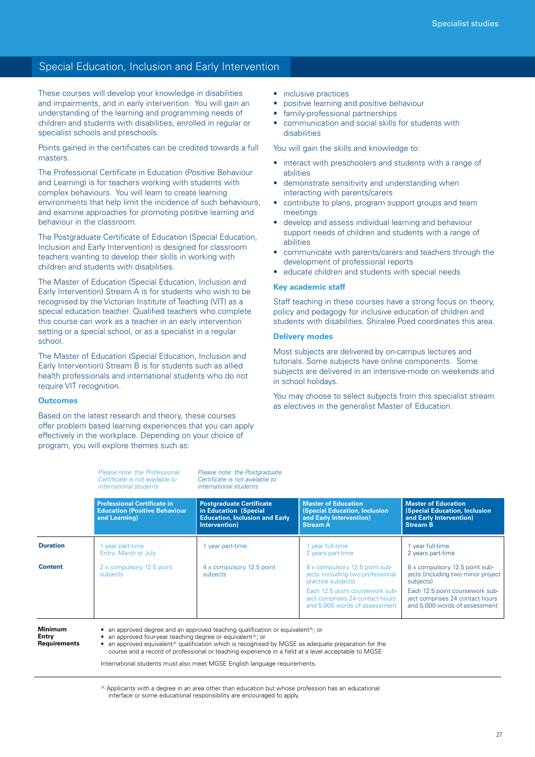### Special Education, Inclusion and Early Intervention

These courses will develop your knowledge in disabilities and impairments, and in early intervention. You will gain an understanding of the learning and programming needs of children and students with disabilities, enrolled in regular or specialist schools and preschools.

Points gained in the certificates can be credited towards a full masters.

The Professional Certificate in Education (Positive Behaviour and Learning) is for teachers working with students with complex behaviours. You will learn to create learning environments that help limit the incidence of such behaviours, and examine approaches for promoting positive learning and behaviour in the classroom.

The Postgraduate Certificate of Education (Special Education, Inclusion and Early Intervention) is designed for classroom teachers wanting to develop their skills in working with children and students with disabilities.

The Master of Education (Special Education, Inclusion and Early Intervention) Stream A is for students who wish to be recognised by the Victorian Institute of Teaching (VIT) as a special education teacher. Qualified teachers who complete this course can work as a teacher in an early intervention setting or a special school, or as a specialist in a regular school.

The Master of Education (Special Education, Inclusion and Early Intervention) Stream B is for students such as allied health professionals and international students who do not require VIT recognition.

#### **Outcomes**

Based on the latest research and theory, these courses offer problem based learning experiences that you can apply effectively in the workplace. Depending on your choice of program, you will explore themes such as:

- inclusive practices
- positive learning and positive behaviour
- family-professional partnerships
- • communication and social skills for students with disabilities

You will gain the skills and knowledge to:

- interact with preschoolers and students with a range of abilities
- demonstrate sensitivity and understanding when interacting with parents/carers
- contribute to plans, program support groups and team meetings
- develop and assess individual learning and behaviour support needs of children and students with a range of abilities
- communicate with parents/carers and teachers through the development of professional reports
- educate children and students with special needs

#### **Key academic staff**

Staff teaching in these courses have a strong focus on theory, policy and pedagogy for inclusive education of children and students with disabilities. Shiralee Poed coordinates this area.

#### **Delivery modes**

Most subjects are delivered by on-campus lectures and tutorials. Some subjects have online components. Some subjects are delivered in an intensive-mode on weekends and in school holidays.

You may choose to select subjects from this specialist stream as electives in the generalist Master of Education.

|                 | Please note: the Professional<br>Certificate is not available to<br>international students  | Please note: the Postgraduate<br>Certificate is not available to<br>international students                         |                                                                                                                  |                                                                                                                  |
|-----------------|---------------------------------------------------------------------------------------------|--------------------------------------------------------------------------------------------------------------------|------------------------------------------------------------------------------------------------------------------|------------------------------------------------------------------------------------------------------------------|
|                 | <b>Professional Certificate in</b><br><b>Education (Positive Behaviour</b><br>and Learning) | <b>Postgraduate Certificate</b><br>in Education (Special<br><b>Education, Inclusion and Early</b><br>Intervention) | <b>Master of Education</b><br><b>(Special Education, Inclusion</b><br>and Early Intervention)<br><b>Stream A</b> | <b>Master of Education</b><br><b>(Special Education, Inclusion</b><br>and Early Intervention)<br><b>Stream B</b> |
| <b>Duration</b> | 1 year part-time<br>Entry: March or July                                                    | vear part-time                                                                                                     | 1 year full-time<br>2 years part-time                                                                            | 1 year full-time<br>2 years part-time                                                                            |
| <b>Content</b>  | 2 x compulsory 12.5 point<br>subjects                                                       | 4 x compulsory 12.5 point<br>subjects                                                                              | 8 x compulsory 12.5 point sub-<br>jects (including two professional<br>practice subjects)                        | 8 x compulsory 12.5 point sub-<br>jects (including two minor project<br>subjects)                                |
|                 |                                                                                             |                                                                                                                    | Each 12.5 point coursework sub-<br>ject comprises 24 contact hours<br>and 5,000 words of assessment              | Each 12.5 point coursework sub-<br>ject comprises 24 contact hours<br>and 5,000 words of assessment              |

#### **Minimum Entry**

**Requirements**

• an approved degree and an approved teaching qualification or equivalent^; or

an approved four-year teaching degree or equivalent $\wedge$ ; or

an approved equivalent^ qualification which is recognised by MGSE as adequate preparation for the course and a record of professional or teaching experience in a field at a level acceptable to MGSE

International students must also meet MGSE English language requirements.

 $\land$  Applicants with a degree in an area other than education but whose profession has an educational interface or some educational responsibility are encouraged to apply.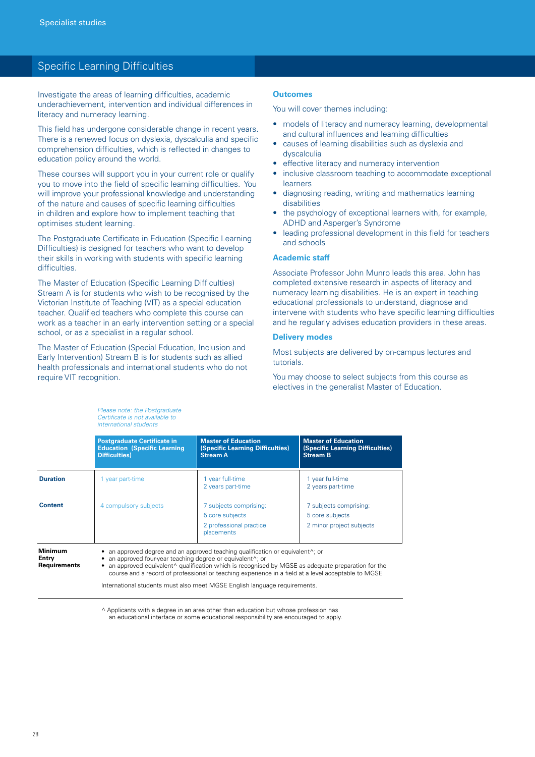### Specific Learning Difficulties

Investigate the areas of learning difficulties, academic underachievement, intervention and individual differences in literacy and numeracy learning.

This field has undergone considerable change in recent years. There is a renewed focus on dyslexia, dyscalculia and specific comprehension difficulties, which is reflected in changes to education policy around the world.

These courses will support you in your current role or qualify you to move into the field of specific learning difficulties. You will improve your professional knowledge and understanding of the nature and causes of specific learning difficulties in children and explore how to implement teaching that optimises student learning.

The Postgraduate Certificate in Education (Specific Learning Difficulties) is designed for teachers who want to develop their skills in working with students with specific learning difficulties.

The Master of Education (Specific Learning Difficulties) Stream A is for students who wish to be recognised by the Victorian Institute of Teaching (VIT) as a special education teacher. Qualified teachers who complete this course can work as a teacher in an early intervention setting or a special school, or as a specialist in a regular school.

The Master of Education (Special Education, Inclusion and Early Intervention) Stream B is for students such as allied health professionals and international students who do not require VIT recognition.

> *Please note: the Postgraduate Certificate is not available to*

### **Outcomes**

You will cover themes including:

- models of literacy and numeracy learning, developmental and cultural influences and learning difficulties
- causes of learning disabilities such as dyslexia and dyscalculia
- effective literacy and numeracy intervention
- inclusive classroom teaching to accommodate exceptional learners
- diagnosing reading, writing and mathematics learning disabilities
- the psychology of exceptional learners with, for example, ADHD and Asperger's Syndrome
- leading professional development in this field for teachers and schools

#### **Academic staff**

Associate Professor John Munro leads this area. John has completed extensive research in aspects of literacy and numeracy learning disabilities. He is an expert in teaching educational professionals to understand, diagnose and intervene with students who have specific learning difficulties and he regularly advises education providers in these areas.

#### **Delivery modes**

Most subjects are delivered by on-campus lectures and tutorials.

You may choose to select subjects from this course as electives in the generalist Master of Education.

| <b>Education (Specific Learning)</b><br><b>Difficulties</b> ) | <b>(Specific Learning Difficulties)</b><br><b>Stream A</b>                         | (Specific Learning Difficulties)<br><b>Stream B</b>                   |
|---------------------------------------------------------------|------------------------------------------------------------------------------------|-----------------------------------------------------------------------|
| 1 year part-time                                              | 1 year full-time<br>2 years part-time                                              | 1 year full-time<br>2 years part-time                                 |
| 4 compulsory subjects                                         | 7 subjects comprising:<br>5 core subjects<br>2 professional practice<br>placements | 7 subjects comprising:<br>5 core subjects<br>2 minor project subjects |
|                                                               |                                                                                    |                                                                       |

• an approved equivalent^ qualification which is recognised by MGSE as adequate preparation for the course and a record of professional or teaching experience in a field at a level acceptable to MGSE

International students must also meet MGSE English language requirements.

^ Applicants with a degree in an area other than education but whose profession has an educational interface or some educational responsibility are encouraged to apply.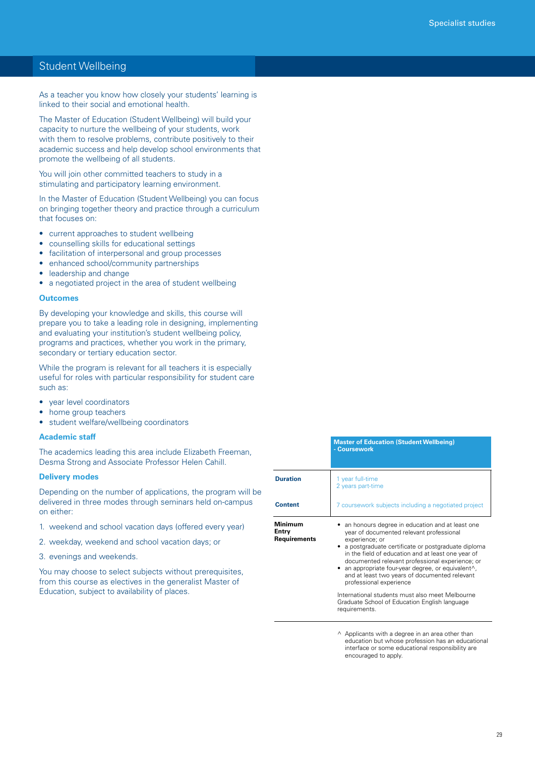### Student Wellbeing

As a teacher you know how closely your students' learning is linked to their social and emotional health.

The Master of Education (Student Wellbeing) will build your capacity to nurture the wellbeing of your students, work with them to resolve problems, contribute positively to their academic success and help develop school environments that promote the wellbeing of all students.

You will join other committed teachers to study in a stimulating and participatory learning environment.

In the Master of Education (Student Wellbeing) you can focus on bringing together theory and practice through a curriculum that focuses on:

- current approaches to student wellbeing
- • counselling skills for educational settings
- facilitation of interpersonal and group processes
- enhanced school/community partnerships
- leadership and change
- a negotiated project in the area of student wellbeing

#### **Outcomes**

By developing your knowledge and skills, this course will prepare you to take a leading role in designing, implementing and evaluating your institution's student wellbeing policy, programs and practices, whether you work in the primary, secondary or tertiary education sector.

While the program is relevant for all teachers it is especially useful for roles with particular responsibility for student care such as:

- • year level coordinators
- home group teachers
- • student welfare/wellbeing coordinators

#### **Academic staff**

The academics leading this area include Elizabeth Freeman, Desma Strong and Associate Professor Helen Cahill.

#### **Delivery modes**

Depending on the number of applications, the program will be delivered in three modes through seminars held on-campus on either:

- 1. weekend and school vacation days (offered every year)
- 2. weekday, weekend and school vacation days; or
- 3. evenings and weekends.

You may choose to select subjects without prerequisites, from this course as electives in the generalist Master of Education, subject to availability of places.

|                                         | <b>Master of Education (Student Wellbeing)</b><br>- Coursework                                                                                                                                                                                                                                                                                                                                                                                                                                   |  |
|-----------------------------------------|--------------------------------------------------------------------------------------------------------------------------------------------------------------------------------------------------------------------------------------------------------------------------------------------------------------------------------------------------------------------------------------------------------------------------------------------------------------------------------------------------|--|
| <b>Duration</b>                         | 1 year full-time<br>2 years part-time                                                                                                                                                                                                                                                                                                                                                                                                                                                            |  |
| <b>Content</b>                          | 7 coursework subjects including a negotiated project                                                                                                                                                                                                                                                                                                                                                                                                                                             |  |
| Minimum<br>Entry<br><b>Requirements</b> | an honours degree in education and at least one<br>year of documented relevant professional<br>experience; or<br>• a postgraduate certificate or postgraduate diploma<br>in the field of education and at least one year of<br>documented relevant professional experience; or<br>an appropriate four-year degree, or equivalent <sup><math>\wedge</math></sup> ,<br>and at least two years of documented relevant<br>professional experience<br>International students must also meet Melbourne |  |
|                                         | Graduate School of Education English language<br>requirements.                                                                                                                                                                                                                                                                                                                                                                                                                                   |  |

 $\land$  Applicants with a degree in an area other than education but whose profession has an educational interface or some educational responsibility are encouraged to apply.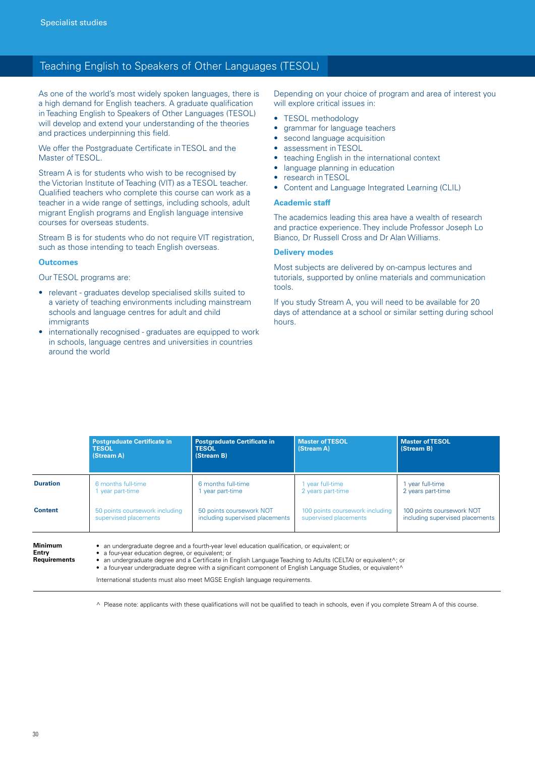### Teaching English to Speakers of Other Languages (TESOL)

As one of the world's most widely spoken languages, there is a high demand for English teachers. A graduate qualification in Teaching English to Speakers of Other Languages (TESOL) will develop and extend your understanding of the theories and practices underpinning this field.

We offer the Postgraduate Certificate in TESOL and the Master of TESOL.

Stream A is for students who wish to be recognised by the Victorian Institute of Teaching (VIT) as a TESOL teacher. Qualified teachers who complete this course can work as a teacher in a wide range of settings, including schools, adult migrant English programs and English language intensive courses for overseas students.

Stream B is for students who do not require VIT registration, such as those intending to teach English overseas.

#### **Outcomes**

Our TESOL programs are:

- relevant graduates develop specialised skills suited to a variety of teaching environments including mainstream schools and language centres for adult and child immigrants
- internationally recognised graduates are equipped to work in schools, language centres and universities in countries around the world

Depending on your choice of program and area of interest you will explore critical issues in:

- TESOL methodology
- • grammar for language teachers
- second language acquisition
- assessment in TESOL
- teaching English in the international context
- language planning in education
- research in TESOL
- Content and Language Integrated Learning (CLIL)

#### **Academic staff**

The academics leading this area have a wealth of research and practice experience. They include Professor Joseph Lo Bianco, Dr Russell Cross and Dr Alan Williams.

#### **Delivery modes**

Most subjects are delivered by on-campus lectures and tutorials, supported by online materials and communication tools.

If you study Stream A, you will need to be available for 20 days of attendance at a school or similar setting during school hours.

|                                         | <b>Postgraduate Certificate in</b><br><b>TESOL</b><br>(Stream A)                                                                                                                                                                                                                                                                                                                                                   | <b>Postgraduate Certificate in</b><br><b>TESOL</b><br>(Stream B) | <b>Master of TESOL</b><br>(Stream A) | <b>Master of TESOL</b><br>(Stream B) |
|-----------------------------------------|--------------------------------------------------------------------------------------------------------------------------------------------------------------------------------------------------------------------------------------------------------------------------------------------------------------------------------------------------------------------------------------------------------------------|------------------------------------------------------------------|--------------------------------------|--------------------------------------|
| <b>Duration</b>                         | 6 months full-time                                                                                                                                                                                                                                                                                                                                                                                                 | 6 months full-time                                               | 1 year full-time                     | 1 year full-time                     |
|                                         | year part-time                                                                                                                                                                                                                                                                                                                                                                                                     | vear part-time                                                   | 2 years part-time                    | 2 years part-time                    |
| <b>Content</b>                          | 50 points coursework including                                                                                                                                                                                                                                                                                                                                                                                     | 50 points coursework NOT                                         | 100 points coursework including      | 100 points coursework NOT            |
|                                         | supervised placements                                                                                                                                                                                                                                                                                                                                                                                              | including supervised placements                                  | supervised placements                | including supervised placements      |
| <b>Minimum</b><br>Entry<br>Requirements | • an undergraduate degree and a fourth-year level education qualification, or equivalent; or<br>• a four-year education degree, or equivalent; or<br>an undergraduate degree and a Certificate in English Language Teaching to Adults (CELTA) or equivalent^; or<br>٠<br>• a four-year undergraduate degree with a significant component of English Language Studies, or equivalent <sup><math>\wedge</math></sup> |                                                                  |                                      |                                      |

International students must also meet MGSE English language requirements.

^ Please note: applicants with these qualifications will not be qualified to teach in schools, even if you complete Stream A of this course.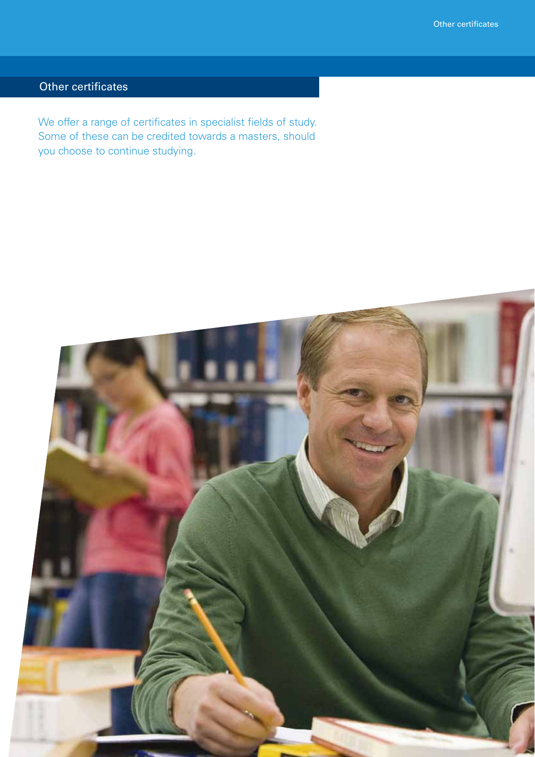# Other certificates

We offer a range of certificates in specialist fields of study. Some of these can be credited towards a masters, should you choose to continue studying.

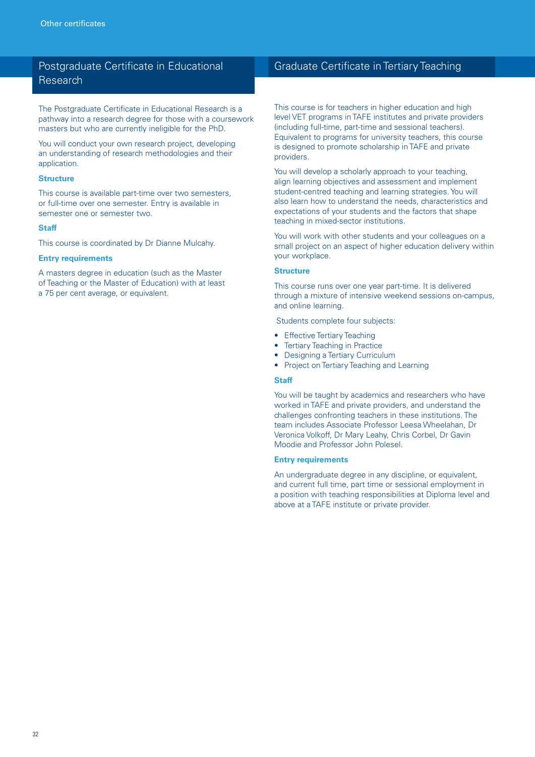### Postgraduate Certificate in Educational Research

The Postgraduate Certificate in Educational Research is a pathway into a research degree for those with a coursework masters but who are currently ineligible for the PhD.

You will conduct your own research project, developing an understanding of research methodologies and their application.

#### **Structure**

This course is available part-time over two semesters, or full-time over one semester. Entry is available in semester one or semester two.

#### **Staff**

This course is coordinated by Dr Dianne Mulcahy.

#### **Entry requirements**

A masters degree in education (such as the Master of Teaching or the Master of Education) with at least a 75 per cent average, or equivalent.

### Graduate Certificate in Tertiary Teaching

This course is for teachers in higher education and high level VET programs in TAFE institutes and private providers (including full-time, part-time and sessional teachers). Equivalent to programs for university teachers, this course is designed to promote scholarship in TAFE and private providers.

You will develop a scholarly approach to your teaching, align learning objectives and assessment and implement student-centred teaching and learning strategies. You will also learn how to understand the needs, characteristics and expectations of your students and the factors that shape teaching in mixed-sector institutions.

You will work with other students and your colleagues on a small project on an aspect of higher education delivery within your workplace.

#### **Structure**

This course runs over one year part-time. It is delivered through a mixture of intensive weekend sessions on-campus, and online learning.

Students complete four subjects:

- Effective Tertiary Teaching
- Tertiary Teaching in Practice
- **Designing a Tertiary Curriculum**
- Project on Tertiary Teaching and Learning

#### **Staff**

You will be taught by academics and researchers who have worked in TAFE and private providers, and understand the challenges confronting teachers in these institutions. The team includes Associate Professor Leesa Wheelahan, Dr Veronica Volkoff, Dr Mary Leahy, Chris Corbel, Dr Gavin Moodie and Professor John Polesel.

#### **Entry requirements**

An undergraduate degree in any discipline, or equivalent, and current full time, part time or sessional employment in a position with teaching responsibilities at Diploma level and above at a TAFE institute or private provider.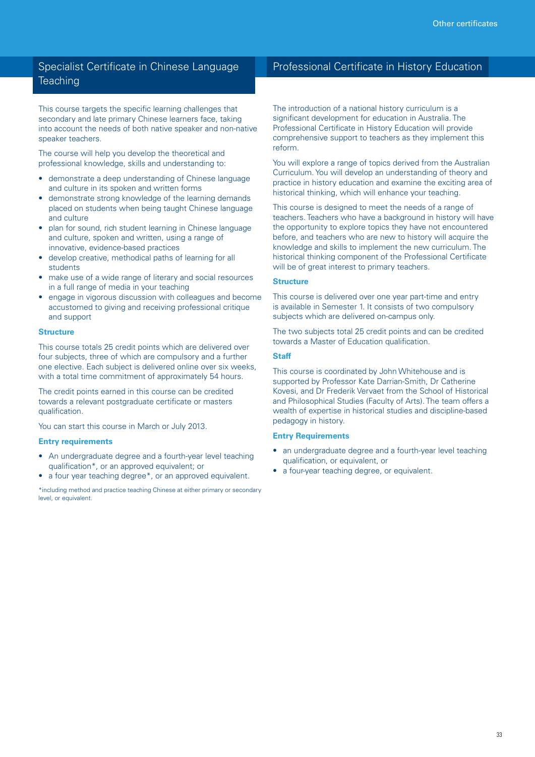### Specialist Certificate in Chinese Language **Teaching**

This course targets the specific learning challenges that secondary and late primary Chinese learners face, taking into account the needs of both native speaker and non-native speaker teachers.

The course will help you develop the theoretical and professional knowledge, skills and understanding to:

- demonstrate a deep understanding of Chinese language and culture in its spoken and written forms
- demonstrate strong knowledge of the learning demands placed on students when being taught Chinese language and culture
- plan for sound, rich student learning in Chinese language and culture, spoken and written, using a range of innovative, evidence-based practices
- develop creative, methodical paths of learning for all students
- make use of a wide range of literary and social resources in a full range of media in your teaching
- engage in vigorous discussion with colleagues and become accustomed to giving and receiving professional critique and support

#### **Structure**

This course totals 25 credit points which are delivered over four subjects, three of which are compulsory and a further one elective. Each subject is delivered online over six weeks, with a total time commitment of approximately 54 hours.

The credit points earned in this course can be credited towards a relevant postgraduate certificate or masters qualification.

You can start this course in March or July 2013.

#### **Entry requirements**

- An undergraduate degree and a fourth-year level teaching qualification\*, or an approved equivalent; or
- a four year teaching degree\*, or an approved equivalent.

\*including method and practice teaching Chinese at either primary or secondary level, or equivalent.

### Professional Certificate in History Education

The introduction of a national history curriculum is a significant development for education in Australia. The Professional Certificate in History Education will provide comprehensive support to teachers as they implement this reform.

You will explore a range of topics derived from the Australian Curriculum. You will develop an understanding of theory and practice in history education and examine the exciting area of historical thinking, which will enhance your teaching.

This course is designed to meet the needs of a range of teachers. Teachers who have a background in history will have the opportunity to explore topics they have not encountered before, and teachers who are new to history will acquire the knowledge and skills to implement the new curriculum. The historical thinking component of the Professional Certificate will be of great interest to primary teachers.

#### **Structure**

This course is delivered over one year part-time and entry is available in Semester 1. It consists of two compulsory subjects which are delivered on-campus only.

The two subjects total 25 credit points and can be credited towards a Master of Education qualification.

#### **Staff**

This course is coordinated by John Whitehouse and is supported by Professor Kate Darrian-Smith, Dr Catherine Kovesi, and Dr Frederik Vervaet from the School of Historical and Philosophical Studies (Faculty of Arts). The team offers a wealth of expertise in historical studies and discipline-based pedagogy in history.

#### **Entry Requirements**

- an undergraduate degree and a fourth-year level teaching qualification, or equivalent, or
- a four-year teaching degree, or equivalent.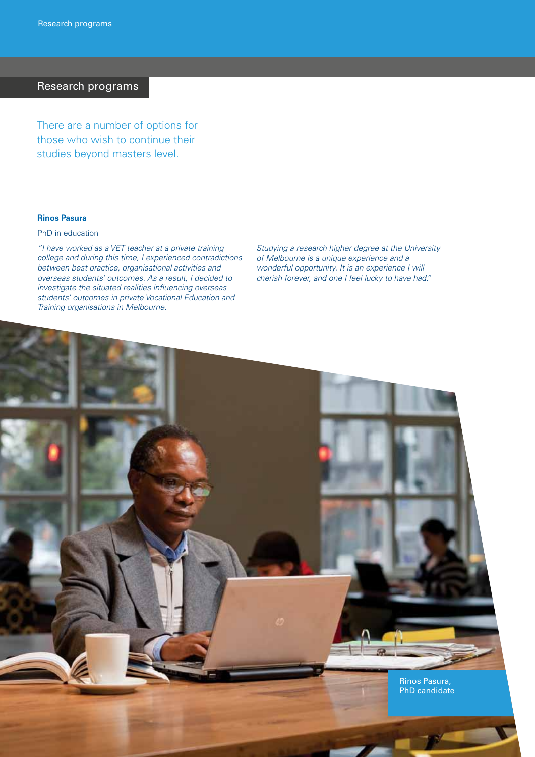### Research programs

There are a number of options for those who wish to continue their studies beyond masters level.

### **Rinos Pasura**

#### PhD in education

*"I have worked as a VET teacher at a private training college and during this time, I experienced contradictions between best practice, organisational activities and overseas students' outcomes. As a result, I decided to investigate the situated realities influencing overseas students' outcomes in private Vocational Education and Training organisations in Melbourne.*

*Studying a research higher degree at the University of Melbourne is a unique experience and a wonderful opportunity. It is an experience I will cherish forever, and one I feel lucky to have had."*

Rinos Pasura, PhD candidate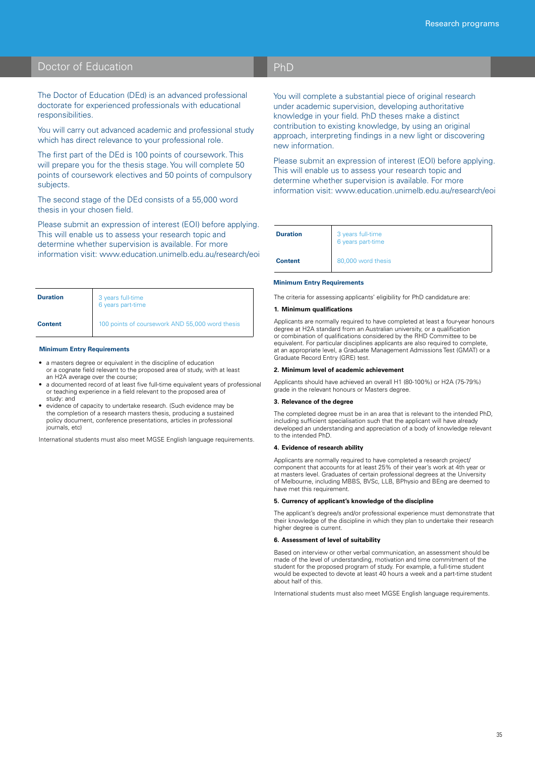# Doctor of Education

### PhD

The Doctor of Education (DEd) is an advanced professional doctorate for experienced professionals with educational responsibilities.

You will carry out advanced academic and professional study which has direct relevance to your professional role.

The first part of the DEd is 100 points of coursework. This will prepare you for the thesis stage. You will complete 50 points of coursework electives and 50 points of compulsory subjects.

The second stage of the DEd consists of a 55,000 word thesis in your chosen field.

Please submit an expression of interest (EOI) before applying. This will enable us to assess your research topic and determine whether supervision is available. For more information visit: www.education.unimelb.edu.au/research/eoi

| <b>Duration</b> | 3 years full-time<br>6 years part-time          |  |
|-----------------|-------------------------------------------------|--|
| <b>Content</b>  | 100 points of coursework AND 55,000 word thesis |  |

#### **Minimum Entry Requirements**

- a masters degree or equivalent in the discipline of education or a cognate field relevant to the proposed area of study, with at least an H2A average over the course;
- a documented record of at least five full-time equivalent years of professional or teaching experience in a field relevant to the proposed area of study: and
- evidence of capacity to undertake research. (Such evidence may be the completion of a research masters thesis, producing a sustained policy document, conference presentations, articles in professional journals, etc)

International students must also meet MGSE English language requirements.

You will complete a substantial piece of original research under academic supervision, developing authoritative knowledge in your field. PhD theses make a distinct contribution to existing knowledge, by using an original approach, interpreting findings in a new light or discovering new information.

Please submit an expression of interest (EOI) before applying. This will enable us to assess your research topic and determine whether supervision is available. For more information visit: www.education.unimelb.edu.au/research/eoi

| <b>Duration</b> | 3 years full-time<br>6 years part-time |
|-----------------|----------------------------------------|
| <b>Content</b>  | 80,000 word thesis                     |

#### **Minimum Entry Requirements**

The criteria for assessing applicants' eligibility for PhD candidature are:

#### **1. Minimum qualifications**

Applicants are normally required to have completed at least a four-year<br>degree at H2A standard from an Australian university, or a qualification Applicants are normally required to have completed at least a four-year honours or combination of qualifications considered by the RHD Committee to be equivalent. For particular disciplines applicants are also required to complete, at an appropriate level, a Graduate Management Admissions Test (GMAT) or a Graduate Record Entry (GRE) test.

#### **2. Minimum level of academic achievement**

Applicants should have achieved an overall H1 (80-100%) or H2A (75-79%) grade in the relevant honours or Masters degree.

#### **3. Relevance of the degree**

The completed degree must be in an area that is relevant to the intended PhD, including sufficient specialisation such that the applicant will have already developed an understanding and appreciation of a body of knowledge relevant to the intended PhD.

#### **4. Evidence of research ability**

Applicants are normally required to have completed a research project/ component that accounts for at least 25% of their year's work at 4th year or at masters level. Graduates of certain professional degrees at the University of Melbourne, including MBBS, BVSc, LLB, BPhysio and BEng are deemed to have met this requirement.

#### **5. Currency of applicant's knowledge of the discipline**

The applicant's degree/s and/or professional experience must demonstrate that their knowledge of the discipline in which they plan to undertake their research higher degree is current.

#### **6. Assessment of level of suitability**

Based on interview or other verbal communication, an assessment should be made of the level of understanding, motivation and time commitment of the student for the proposed program of study. For example, a full-time student would be expected to devote at least 40 hours a week and a part-time student about half of this.

International students must also meet MGSE English language requirements.